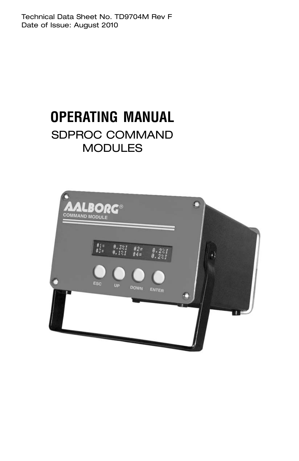Technical Data Sheet No. TD9704M Rev F Date of Issue: August 2010

# **OPERATING MANUAL** SDPROC COMMAND **MODULES**

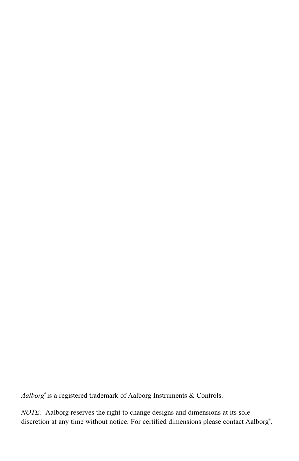Aalborg<sup>®</sup> is a registered trademark of Aalborg Instruments & Controls.

*NOTE:* Aalborg reserves the right to change designs and dimensions at its sole discretion at any time without notice. For certified dimensions please contact Aalborg<sup>®</sup>.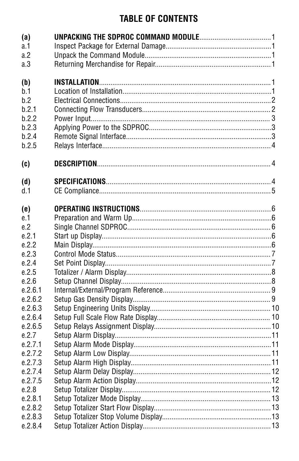# **TABLE OF CONTENTS**

| (a)<br>a.1<br>a.2<br>a.3                                       |  |
|----------------------------------------------------------------|--|
| (b)<br>b.1<br>b.2<br>b.2.1<br>b.2.2<br>b.2.3<br>b.2.4<br>b.2.5 |  |
| (c)                                                            |  |
| (d)<br>d.1                                                     |  |
| (e)<br>e.1<br>e.2                                              |  |
| e.2.1<br>e.2.2                                                 |  |
| e.2.3<br>e.2.4<br>e.2.5                                        |  |
| e.2.6<br>e.2.6.1                                               |  |
| e.2.6.2<br>e.2.6.3<br>e.2.6.4                                  |  |
| e.2.6.5<br>e.2.7                                               |  |
| e.2.7.1<br>e.2.7.2                                             |  |
| e.2.7.3<br>e.2.7.4                                             |  |
| e.2.7.5<br>e.2.8<br>e.2.8.1                                    |  |
| e.2.8.2<br>e.2.8.3                                             |  |
| e.2.8.4                                                        |  |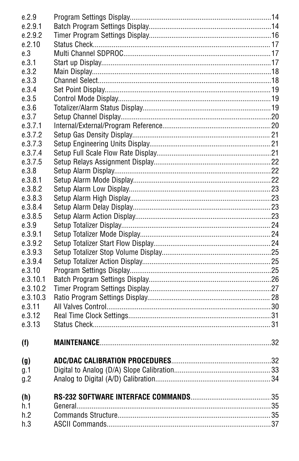| e.2.9    |  |
|----------|--|
| e.2.9.1  |  |
| e.2.9.2  |  |
| e.2.10   |  |
| e.3      |  |
| e.3.1    |  |
| e.3.2    |  |
| e.3.3    |  |
| e.3.4    |  |
| e.3.5    |  |
| e.3.6    |  |
| e.3.7    |  |
| e.3.7.1  |  |
| e.3.7.2  |  |
| e.3.7.3  |  |
| e.3.7.4  |  |
| e.3.7.5  |  |
| e.3.8    |  |
| e.3.8.1  |  |
| e.3.8.2  |  |
| e.3.8.3  |  |
| e.3.8.4  |  |
| e.3.8.5  |  |
| e.3.9    |  |
| e.3.9.1  |  |
| e.3.9.2  |  |
| e.3.9.3  |  |
| e.3.9.4  |  |
| e.3.10   |  |
| e.3.10.1 |  |
| e.3.10.2 |  |
| e.3.10.3 |  |
| e.3.11   |  |
| e.3.12   |  |
| e.3.13   |  |
|          |  |
| (f)      |  |
| (g)      |  |
| g.1      |  |
| g.2      |  |
|          |  |
| (h)      |  |
| h.1      |  |
| h.2      |  |
| h.3      |  |
|          |  |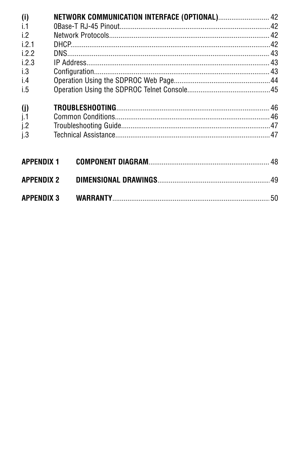| (i)               | NETWORK COMMUNICATION INTERFACE (OPTIONAL) 42 |  |
|-------------------|-----------------------------------------------|--|
| i.1               |                                               |  |
| i.2               |                                               |  |
| i 21              |                                               |  |
| 122               |                                               |  |
| 1.2.3             |                                               |  |
| i.3               |                                               |  |
| i.4               |                                               |  |
| i.5               |                                               |  |
| (i)               |                                               |  |
| j.1               |                                               |  |
| i.2               |                                               |  |
| i.3               |                                               |  |
| <b>APPENDIX 1</b> |                                               |  |
| <b>APPENDIX 2</b> |                                               |  |

| <b>APPENDIX 3</b> | <b>WARRANTY</b> |  |
|-------------------|-----------------|--|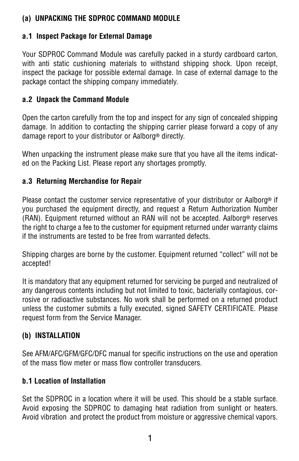# **(a) UNPACKING THE SDPROC COMMAND MODULE**

### **a.1 Inspect Package for External Damage**

Your SDPROC Command Module was carefully packed in a sturdy cardboard carton, with anti static cushioning materials to withstand shipping shock. Upon receipt, inspect the package for possible external damage. In case of external damage to the package contact the shipping company immediately.

### **a.2 Unpack the Command Module**

Open the carton carefully from the top and inspect for any sign of concealed shipping damage. In addition to contacting the shipping carrier please forward a copy of any damage report to your distributor or Aalborg<sup>®</sup> directly.

When unpacking the instrument please make sure that you have all the items indicated on the Packing List. Please report any shortages promptly.

### **a.3 Returning Merchandise for Repair**

Please contact the customer service representative of your distributor or Aalborg<sup>®</sup> if you purchased the equipment directly, and request a Return Authorization Number (RAN). Equipment returned without an RAN will not be accepted. Aalborg<sup>®</sup> reserves the right to charge a fee to the customer for equipment returned under warranty claims if the instruments are tested to be free from warranted defects.

Shipping charges are borne by the customer. Equipment returned "collect" will not be accepted!

It is mandatory that any equipment returned for servicing be purged and neutralized of any dangerous contents including but not limited to toxic, bacterially contagious, corrosive or radioactive substances. No work shall be performed on a returned product unless the customer submits a fully executed, signed SAFETY CERTIFICATE. Please request form from the Service Manager.

# **(b) INSTALLATION**

See AFM/AFC/GFM/GFC/DFC manual for specific instructions on the use and operation of the mass flow meter or mass flow controller transducers.

### **b.1 Location of Installation**

Set the SDPROC in a location where it will be used. This should be a stable surface. Avoid exposing the SDPROC to damaging heat radiation from sunlight or heaters. Avoid vibration and protect the product from moisture or aggressive chemical vapors.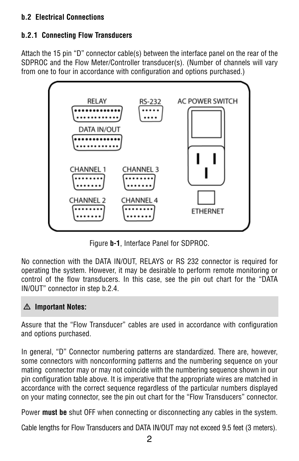# **b.2 Electrical Connections**

# **b.2.1 Connecting Flow Transducers**

Attach the 15 pin "D" connector cable(s) between the interface panel on the rear of the SDPROC and the Flow Meter/Controller transducer(s). (Number of channels will vary from one to four in accordance with configuration and options purchased.)



Figure **b-1**, Interface Panel for SDPROC.

No connection with the DATA IN/OUT, RELAYS or RS 232 connector is required for operating the system. However, it may be desirable to perform remote monitoring or control of the flow transducers. In this case, see the pin out chart for the "DATA IN/OUT" connector in step b.2.4.

# - **Important Notes:**

Assure that the "Flow Transducer" cables are used in accordance with configuration and options purchased.

In general, "D" Connector numbering patterns are standardized. There are, however, some connectors with nonconforming patterns and the numbering sequence on your mating connector may or may not coincide with the numbering sequence shown in our pin configuration table above. It is imperative that the appropriate wires are matched in accordance with the correct sequence regardless of the particular numbers displayed on your mating connector, see the pin out chart for the "Flow Transducers" connector.

Power **must be** shut OFF when connecting or disconnecting any cables in the system.

Cable lengths for Flow Transducers and DATA IN/OUT may not exceed 9.5 feet (3 meters).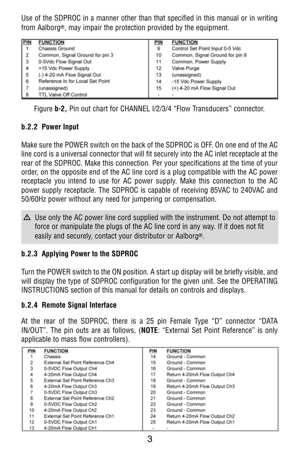Use of the SDPROC in a manner other than that specified in this manual or in writing from Aalborg<sup>®</sup>, may impair the protection provided by the equipment.

| <b>PIN</b>               | <b>FUNCTION</b>                  | <b>PIN</b> | <b>FUNCTION</b>                 |
|--------------------------|----------------------------------|------------|---------------------------------|
| l 1                      | Chassis Ground                   | 9          | Control Set Point Input 0-5 Vdc |
| $\overline{2}$           | Common, Signal Ground for pin 3  | 10         | Common, Signal Ground for pin 9 |
|                          | 0-5Vdc Flow Signal Out           | 11         | Common, Power Supply            |
| $\frac{3}{4}$            | +15 Vdc Power Supply             | 12         | Valve Purge                     |
| $\overline{\phantom{0}}$ | (-) 4-20 mA Flow Signal Out      | 13         | (unassigned)                    |
|                          | Reference In for Local Set Point | 14         | -15 Vdc Power Supply            |
| $\frac{6}{7}$            | (unassigned)                     | 15         | (+) 4-20 mA Flow Signal Out     |
| 8                        | <b>TTL Valve Off Control</b>     |            |                                 |

Figure **b-2,** Pin out chart for CHANNEL l/2/3/4 "Flow Transducers" connector.

### **b.2.2 Power Input**

Make sure the POWER switch on the back of the SDPROC is OFF. On one end of the AC line cord is a universal connector that will fit securely into the AC inlet receptacle at the rear of the SDPROC. Make this connection. Per your specifications at the time of your order, on the opposite end of the AC line cord is a plug compatible with the AC power receptacle you intend to use for AC power supply. Make this connection to the AC power supply receptacle. The SDPROC is capable of receiving 85VAC to 240VAC and 50/60Hz power without any need for jumpering or compensation.

 $\Delta$  Use only the AC power line cord supplied with the instrument. Do not attempt to force or manipulate the plugs of the AC line cord in any way. If it does not fit easily and securely, contact your distributor or Aalborg<sup>®</sup>.

### **b.2.3 Applying Power to the SDPROC**

Turn the POWER switch to the ON position. A start up display will be briefly visible, and will display the type of SDPROC configuration for the given unit. See the OPERATING INSTRUCTIONS section of this manual for details on controls and displays.

### **b.2.4 Remote Signal Interface**

At the rear of the SDPROC, there is a 25 pin Female Type "D" connector "DATA IN/OUT". The pin outs are as follows, (**NOTE**: "External Set Point Reference" is only applicable to mass flow controllers).

| PIN | <b>FUNCTION</b>                  | PIN | <b>FUNCTION</b>               |
|-----|----------------------------------|-----|-------------------------------|
|     | Chassis                          | 14  | Ground - Common               |
| 2   | External Set Point Reference Ch4 | 15  | Ground - Common               |
| 3   | 0-5VDC Flow Output Ch4           | 16  | Ground - Common               |
| 4   | 4-20mA Flow Output Ch4           | 17  | Return 4-20mA Flow Output Ch4 |
| 5   | External Set Point Reference Ch3 | 18  | Ground - Common               |
| 6   | 4-20mA Flow Output Ch3           | 19  | Return 4-20mA Flow Output Ch3 |
|     | 0-5VDC Flow Output Ch3           | 20  | Ground - Common               |
| 8   | External Set Point Reference Ch2 | 21  | Ground - Common               |
| 9   | 0-5VDC Flow Output Ch2           | 22  | Ground - Common               |
| 10  | 4-20mA Flow Output Ch2           | 23  | Ground - Common               |
| 11  | External Set Point Reference Ch1 | 24  | Return 4-20mA Flow Output Ch2 |
| 12  | 0-5VDC Flow Output Ch1           | 25  | Return 4-20mA Flow Output Ch1 |
| 13  | 4-20mA Flow Output Ch1           |     | $\sim$                        |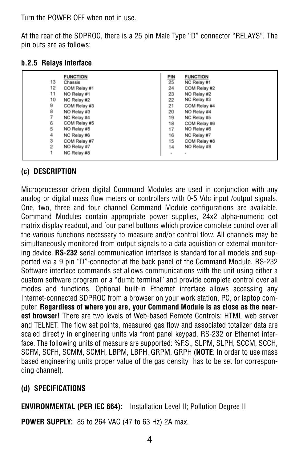Turn the POWER OFF when not in use.

At the rear of the SDPROC, there is a 25 pin Male Type "D" connector "RELAYS". The pin outs are as follows:

|    | <b>FUNCTION</b> |                  | <b>FUNCTION</b> |
|----|-----------------|------------------|-----------------|
| 13 | Chassis         | <u>PIN</u><br>25 | NC Relay #1     |
| 12 | COM Relay #1    | 24               | COM Relay #2    |
| 11 | NO Relay #1     | 23               | NO Relay #2     |
| 10 | NC Relay #2     | 22               | NC Relay #3     |
| 9  | COM Relay #3    | 21               | COM Relay #4    |
| 8  | NO Relay #3     | 20               | NO Relay #4     |
|    | NC Relay #4     | 19               | NC Relay #5     |
| 6  | COM Relay #5    | 18               | COM Relay #6    |
| 5  | NO Relay #5     | 17               | NO Relay #6     |
| 4  | NC Relay #6     | 16               | NC Relay #7     |
| 3  | COM Relay #7    | 15               | COM Relay #8    |
| 2  | NO Relay #7     | 14               | NO Relay #8     |
|    | NC Relay #8     | ۰                | ۰               |

#### **b.2.5 Relays Interface**

# **(c) DESCRIPTION**

Microprocessor driven digital Command Modules are used in conjunction with any analog or digital mass flow meters or controllers with 0-5 Vdc input /output signals. One, two, three and four channel Command Module configurations are available. Command Modules contain appropriate power supplies, 24x2 alpha-numeric dot matrix display readout, and four panel buttons which provide complete control over all the various functions necessary to measure and/or control flow. All channels may be simultaneously monitored from output signals to a data aquistion or external monitoring device. **RS-232** serial communication interface is standard for all models and supported via a 9 pin "D"-connector at the back panel of the Command Module. RS-232 Software interface commands set allows communications with the unit using either a custom software program or a "dumb terminal" and provide complete control over all modes and functions. Optional built-in Ethernet interface allows accessing any Internet-connected SDPROC from a browser on your work station, PC, or laptop computer. **Regardless of where you are, your Command Module is as close as the nearest browser!** There are two levels of Web-based Remote Controls: HTML web server and TELNET. The flow set points, measured gas flow and associated totalizer data are scaled directly in engineering units via front panel keypad, RS-232 or Ethernet interface. The following units of measure are supported: %F.S., SLPM, SLPH, SCCM, SCCH, SCFM, SCFH, SCMM, SCMH, LBPM, LBPH, GRPM, GRPH (**NOTE**: In order to use mass based engineering units proper value of the gas density has to be set for corresponding channel).

### **(d) SPECIFICATIONS**

**ENVIRONMENTAL (PER IEC 664):** Installation Level II; Pollution Degree II

**POWER SUPPLY:** 85 to 264 VAC (47 to 63 Hz) 2A max.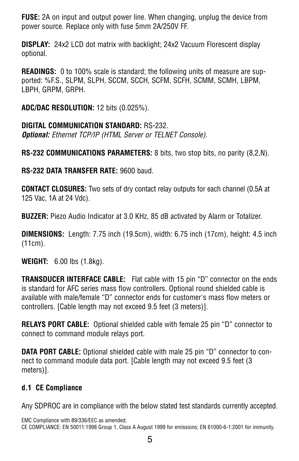**FUSE:** 2A on input and output power line. When changing, unplug the device from power source. Replace only with fuse 5mm 2A/250V FF.

**DISPLAY:** 24x2 LCD dot matrix with backlight; 24x2 Vacuum Florescent display optional.

**READINGS:** 0 to 100% scale is standard; the following units of measure are supported: %F.S., SLPM, SLPH, SCCM, SCCH, SCFM, SCFH, SCMM, SCMH, LBPM, LBPH, GRPM, GRPH.

**ADC/DAC RESOLUTION:** 12 bits (0.025%).

**DIGITAL COMMUNICATION STANDARD:** RS-232. **Optional:** Ethernet TCP/IP (HTML Server or TELNET Console).

**RS-232 COMMUNICATIONS PARAMETERS:** 8 bits, two stop bits, no parity (8,2,N).

**RS-232 DATA TRANSFER RATE:** 9600 baud.

**CONTACT CLOSURES:** Two sets of dry contact relay outputs for each channel (0.5A at 125 Vac, 1A at 24 Vdc).

**BUZZER:** Piezo Audio Indicator at 3.0 KHz, 85 dB activated by Alarm or Totalizer.

**DIMENSIONS:** Length: 7.75 inch (19.5cm), width: 6.75 inch (17cm), height: 4.5 inch (11cm).

**WEIGHT:** 6.00 lbs (1.8kg).

**TRANSDUCER INTERFACE CABLE:** Flat cable with 15 pin "D" connector on the ends is standard for AFC series mass flow controllers. Optional round shielded cable is available with male/female "D" connector ends for customer's mass flow meters or controllers. [Cable length may not exceed 9.5 feet (3 meters)].

**RELAYS PORT CABLE:** Optional shielded cable with female 25 pin "D" connector to connect to command module relays port.

**DATA PORT CABLE:** Optional shielded cable with male 25 pin "D" connector to connect to command module data port. [Cable length may not exceed 9.5 feet (3 meters)].

### **d.1 CE Compliance**

Any SDPROC are in compliance with the below stated test standards currently accepted.

EMC Compliance with 89/336/EEC as amended; CE COMPLIANCE: EN 50011:1998 Group 1, Class A August 1999 for emissions; EN 61000-6-1:2001 for immunity.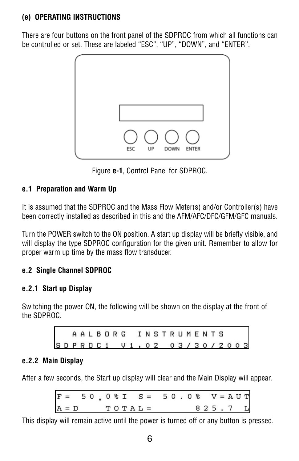# **(e) OPERATING INSTRUCTIONS**

There are four buttons on the front panel of the SDPROC from which all functions can be controlled or set. These are labeled "ESC", "UP", "DOWN", and "ENTER".



Figure **e-1**, Control Panel for SDPROC.

# **e.1 Preparation and Warm Up**

It is assumed that the SDPROC and the Mass Flow Meter(s) and/or Controller(s) have been correctly installed as described in this and the AFM/AFC/DFC/GFM/GFC manuals.

Turn the POWER switch to the ON position. A start up display will be briefly visible, and will display the type SDPROC configuration for the given unit. Remember to allow for proper warm up time by the mass flow transducer.

# **e.2 Single Channel SDPROC**

# **e.2.1 Start up Display**

Switching the power ON, the following will be shown on the display at the front of the SDPROC.

> AALBORG INSTRUMENTS SDPROC1 V1, 02 03/30/2003

### **e.2.2 Main Display**

After a few seconds, the Start up display will clear and the Main Display will appear.

| $F = 50.08I S = 50.08 V = AUT$ |  |  |  |  |  |  |  |  |  |  |         |  |
|--------------------------------|--|--|--|--|--|--|--|--|--|--|---------|--|
| $A = D$ TOTAL =                |  |  |  |  |  |  |  |  |  |  | 825.7 L |  |

This display will remain active until the power is turned off or any button is pressed.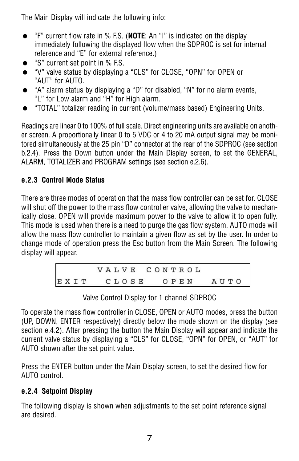The Main Display will indicate the following info:

- = "F" current flow rate in % F.S. (**NOTE**: An "I" is indicated on the display immediately following the displayed flow when the SDPROC is set for internal reference and "E" for external reference.)
- "S" current set point in % F.S.
- "V" valve status by displaying a "CLS" for CLOSE, "OPN" for OPEN or "AUT" for AUTO.
- "A" alarm status by displaying a "D" for disabled, "N" for no alarm events, "L" for Low alarm and "H" for High alarm.
- = "TOTAL" totalizer reading in current (volume/mass based) Engineering Units.

Readings are linear 0 to 100% of full scale. Direct engineering units are available on another screen. A proportionally linear 0 to 5 VDC or 4 to 20 mA output signal may be monitored simultaneously at the 25 pin "D" connector at the rear of the SDPROC (see section b.2.4). Press the Down button under the Main Display screen, to set the GENERAL, ALARM, TOTALIZER and PROGRAM settings (see section e.2.6).

# **e.2.3 Control Mode Status**

There are three modes of operation that the mass flow controller can be set for. CLOSE will shut off the power to the mass flow controller valve, allowing the valve to mechanically close. OPEN will provide maximum power to the valve to allow it to open fully. This mode is used when there is a need to purge the gas flow system. AUTO mode will allow the mass flow controller to maintain a given flow as set by the user. In order to change mode of operation press the Esc button from the Main Screen. The following display will appear.

Valve Control Display for 1 channel SDPROC

To operate the mass flow controller in CLOSE, OPEN or AUTO modes, press the button (UP, DOWN, ENTER respectively) directly below the mode shown on the display (see section e.4.2). After pressing the button the Main Display will appear and indicate the current valve status by displaying a "CLS" for CLOSE, "OPN" for OPEN, or "AUT" for AUTO shown after the set point value.

Press the ENTER button under the Main Display screen, to set the desired flow for AUTO control.

# **e.2.4 Setpoint Display**

The following display is shown when adjustments to the set point reference signal are desired.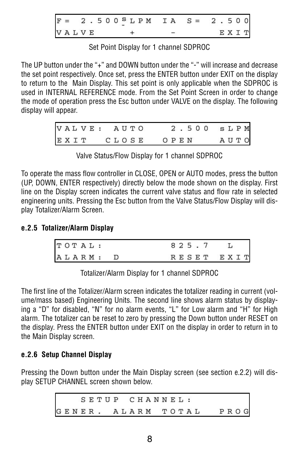$2.500$ <sup>S</sup>LPM  $IA$   $S =$  $2.50$ **VALVE** EXIT

Set Point Display for 1 channel SDPROC

The UP button under the "+" and DOWN button under the "-" will increase and decrease the set point respectively. Once set, press the ENTER button under EXIT on the display to return to the Main Display. This set point is only applicable when the SDPROC is used in INTERNAL REFERENCE mode. From the Set Point Screen in order to change the mode of operation press the Esc button under VALVE on the display. The following display will appear.

|      | VALVE: AUTO | 2.500 SLPM |      |
|------|-------------|------------|------|
| EXIT | CLOSE       | OPEN       | AUTO |

Valve Status/Flow Display for 1 channel SDPROC

To operate the mass flow controller in CLOSE, OPEN or AUTO modes, press the button (UP, DOWN, ENTER respectively) directly below the mode shown on the display. First line on the Display screen indicates the current valve status and flow rate in selected engineering units. Pressing the Esc button from the Valve Status/Flow Display will display Totalizer/Alarm Screen.

# **e.2.5 Totalizer/Alarm Display**

| TOTAL: |  |  |  | 825.7      |  |  |
|--------|--|--|--|------------|--|--|
| ALARM: |  |  |  | RESET EXIT |  |  |

Totalizer/Alarm Display for 1 channel SDPROC

The first line of the Totalizer/Alarm screen indicates the totalizer reading in current (volume/mass based) Engineering Units. The second line shows alarm status by displaying a "D" for disabled, "N" for no alarm events, "L" for Low alarm and "H" for High alarm. The totalizer can be reset to zero by pressing the Down button under RESET on the display. Press the ENTER button under EXIT on the display in order to return in to the Main Display screen.

# **e.2.6 Setup Channel Display**

Pressing the Down button under the Main Display screen (see section e.2.2) will display SETUP CHANNEL screen shown below.

> SETUP CHANNEL: GENER. ALARM TOTAL PROG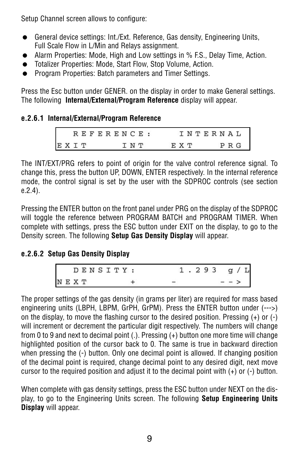Setup Channel screen allows to configure:

- General device settings: Int./Ext. Reference, Gas density, Engineering Units, Full Scale Flow in L/Min and Relays assignment.
- Alarm Properties: Mode, High and Low settings in % F.S., Delay Time, Action.
- = Totalizer Properties: Mode, Start Flow, Stop Volume, Action.
- Program Properties: Batch parameters and Timer Settings.

Press the Esc button under GENER. on the display in order to make General settings. The following **Internal/External/Program Reference** display will appear.

### **e.2.6.1 Internal/External/Program Reference**

|      | REFERENCE: |       | INTERNAL |
|------|------------|-------|----------|
| EXIT | T N T      | E X T | PRG      |

The INT/EXT/PRG refers to point of origin for the valve control reference signal. To change this, press the button UP, DOWN, ENTER respectively. In the internal reference mode, the control signal is set by the user with the SDPROC controls (see section e.2.4).

Pressing the ENTER button on the front panel under PRG on the display of the SDPROC will toggle the reference between PROGRAM BATCH and PROGRAM TIMER. When complete with settings, press the ESC button under EXIT on the display, to go to the Density screen. The following **Setup Gas Density Display** will appear.

#### **e.2.6.2 Setup Gas Density Display**

|      | DENSITY : |  |  | 93 |  | q |  |
|------|-----------|--|--|----|--|---|--|
| NEXT |           |  |  |    |  |   |  |

The proper settings of the gas density (in grams per liter) are required for mass based engineering units (LBPH, LBPM, GrPH, GrPM). Press the ENTER button under (--->) on the display, to move the flashing cursor to the desired position. Pressing (+) or (-) will increment or decrement the particular digit respectively. The numbers will change from 0 to 9 and next to decimal point (.). Pressing (+) button one more time will change highlighted position of the cursor back to 0. The same is true in backward direction when pressing the (-) button. Only one decimal point is allowed. If changing position of the decimal point is required, change decimal point to any desired digit, next move cursor to the required position and adjust it to the decimal point with  $(+)$  or  $(-)$  button.

When complete with gas density settings, press the ESC button under NEXT on the display, to go to the Engineering Units screen. The following **Setup Engineering Units Display** will appear.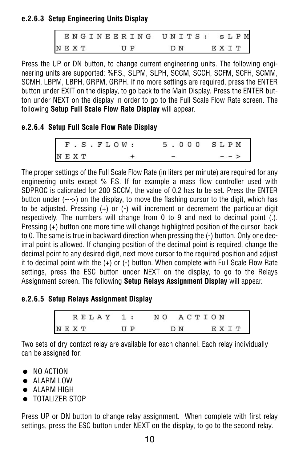### **e.2.6.3 Setup Engineering Units Display**

|      |  |  |  |                           |  | ENGINEERING UNITS: SLPM |  |     |  |  |      |  |  |
|------|--|--|--|---------------------------|--|-------------------------|--|-----|--|--|------|--|--|
| NEXT |  |  |  | $\mathbf{U}$ $\mathbf{P}$ |  |                         |  | DN. |  |  | EХIТ |  |  |

Press the UP or DN button, to change current engineering units. The following engineering units are supported: %F.S., SLPM, SLPH, SCCM, SCCH, SCFM, SCFH, SCMM, SCMH, LBPM, LBPH, GRPM, GRPH. If no more settings are required, press the ENTER button under EXIT on the display, to go back to the Main Display. Press the ENTER button under NEXT on the display in order to go to the Full Scale Flow Rate screen. The following **Setup Full Scale Flow Rate Display** will appear.

#### **e.2.6.4 Setup Full Scale Flow Rate Display**

|      |  |  | F.S.FLOW: |  | 5.000 SLPM |
|------|--|--|-----------|--|------------|
| NEXT |  |  |           |  | $- -$ >    |

The proper settings of the Full Scale Flow Rate (in liters per minute) are required for any engineering units except % F.S. If for example a mass flow controller used with SDPROC is calibrated for 200 SCCM, the value of 0.2 has to be set. Press the ENTER button under (--->) on the display, to move the flashing cursor to the digit, which has to be adjusted. Pressing (+) or (-) will increment or decrement the particular digit respectively. The numbers will change from 0 to 9 and next to decimal point (.). Pressing (+) button one more time will change highlighted position of the cursor back to 0. The same is true in backward direction when pressing the (-) button. Only one decimal point is allowed. If changing position of the decimal point is required, change the decimal point to any desired digit, next move cursor to the required position and adjust it to decimal point with the (+) or (-) button. When complete with Full Scale Flow Rate settings, press the ESC button under NEXT on the display, to go to the Relays Assignment screen. The following **Setup Relays Assignment Display** will appear.

#### **e.2.6.5 Setup Relays Assignment Display**

| RELAY 1: |          | NO ACTION |      |
|----------|----------|-----------|------|
| NEXT     | $II$ $P$ | D N       | EXTT |

Two sets of dry contact relay are available for each channel. Each relay individually can be assigned for:

- NO ACTION
- ALARM LOW
- $\bullet$  ALARM HIGH
- $\bullet$  TOTALIZER STOP

Press UP or DN button to change relay assignment. When complete with first relay settings, press the ESC button under NEXT on the display, to go to the second relay.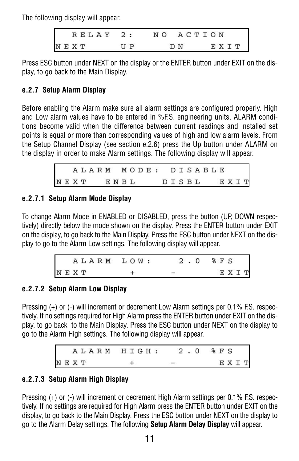The following display will appear.

| RELAY 2:  |         | NO ACTION |      |
|-----------|---------|-----------|------|
| $N E X T$ | $U$ $P$ | D N       | EХТТ |

Press ESC button under NEXT on the display or the ENTER button under EXIT on the display, to go back to the Main Display.

# **e.2.7 Setup Alarm Display**

Before enabling the Alarm make sure all alarm settings are configured properly. High and Low alarm values have to be entered in %F.S. engineering units. ALARM conditions become valid when the difference between current readings and installed set points is equal or more than corresponding values of high and low alarm levels. From the Setup Channel Display (see section e.2.6) press the Up button under ALARM on the display in order to make Alarm settings. The following display will appear.

|           |  |  |  |  |  | ALARM MODE: DISABLE |  |            |  |  |  |
|-----------|--|--|--|--|--|---------------------|--|------------|--|--|--|
| NEXT ENBL |  |  |  |  |  |                     |  | DISBL EXIT |  |  |  |

### **e.2.7.1 Setup Alarm Mode Display**

To change Alarm Mode in ENABLED or DISABLED, press the button (UP, DOWN respectively) directly below the mode shown on the display. Press the ENTER button under EXIT on the display, to go back to the Main Display. Press the ESC button under NEXT on the display to go to the Alarm Low settings. The following display will appear.

| ALARM LOW: | 2.0 | % F S |
|------------|-----|-------|
| $N$ E X T  |     | E X T |

### **e.2.7.2 Setup Alarm Low Display**

Pressing (+) or (-) will increment or decrement Low Alarm settings per 0.1% F.S. respectively. If no settings required for High Alarm press the ENTER button under EXIT on the display, to go back to the Main Display. Press the ESC button under NEXT on the display to go to the Alarm High settings. The following display will appear.

|  | ALARM HIGH: | 2.0 %FS |      |
|--|-------------|---------|------|
|  | NEXT        |         | EXIT |

# **e.2.7.3 Setup Alarm High Display**

Pressing (+) or (-) will increment or decrement High Alarm settings per 0.1% F.S. respectively. If no settings are required for High Alarm press the ENTER button under EXIT on the display, to go back to the Main Display. Press the ESC button under NEXT on the display to go to the Alarm Delay settings. The following **Setup Alarm Delay Display** will appear.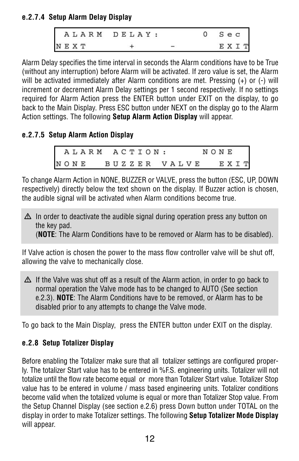# **e.2.7.4 Setup Alarm Delay Display**

|  |      | ALARM DELAY: |  | $S$ e $C$ |             |  |
|--|------|--------------|--|-----------|-------------|--|
|  | NEXT |              |  |           | <b>EXTT</b> |  |

Alarm Delay specifies the time interval in seconds the Alarm conditions have to be True (without any interruption) before Alarm will be activated. If zero value is set, the Alarm will be activated immediately after Alarm conditions are met. Pressing (+) or (-) will increment or decrement Alarm Delay settings per 1 second respectively. If no settings required for Alarm Action press the ENTER button under EXIT on the display, to go back to the Main Display. Press ESC button under NEXT on the display go to the Alarm Action settings. The following **Setup Alarm Action Display** will appear.

# **e.2.7.5 Setup Alarm Action Display**

|      |  |  |  |  |  | ALARM ACTION: |  |  |  |  | NONE |  |
|------|--|--|--|--|--|---------------|--|--|--|--|------|--|
| NONE |  |  |  |  |  | BUZZER VALVE  |  |  |  |  | EXIT |  |

To change Alarm Action in NONE, BUZZER or VALVE, press the button (ESC, UP, DOWN respectively) directly below the text shown on the display. If Buzzer action is chosen, the audible signal will be activated when Alarm conditions become true.

 $\Delta$  In order to deactivate the audible signal during operation press any button on the key pad.

(**NOTE**: The Alarm Conditions have to be removed or Alarm has to be disabled).

If Valve action is chosen the power to the mass flow controller valve will be shut off, allowing the valve to mechanically close.

 $\Delta$  If the Valve was shut off as a result of the Alarm action, in order to go back to normal operation the Valve mode has to be changed to AUTO (See section e.2.3). **NOTE**: The Alarm Conditions have to be removed, or Alarm has to be disabled prior to any attempts to change the Valve mode.

To go back to the Main Display, press the ENTER button under EXIT on the display.

# **e.2.8 Setup Totalizer Display**

Before enabling the Totalizer make sure that all totalizer settings are configured properly. The totalizer Start value has to be entered in %F.S. engineering units. Totalizer will not totalize until the flow rate become equal or more than Totalizer Start value. Totalizer Stop value has to be entered in volume / mass based engineering units. Totalizer conditions become valid when the totalized volume is equal or more than Totalizer Stop value. From the Setup Channel Display (see section e.2.6) press Down button under TOTAL on the display in order to make Totalizer settings. The following **Setup Totalizer Mode Display** will appear.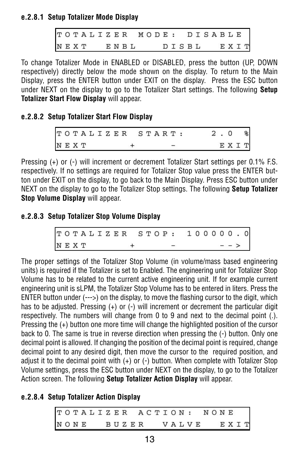# **e.2.8.1 Setup Totalizer Mode Display**

| TOTALIZER MODE: DISABLE |  |  |  |  |  |  |            |  |  |  |  |  |
|-------------------------|--|--|--|--|--|--|------------|--|--|--|--|--|
| NEXT ENBL               |  |  |  |  |  |  | DISBL EXIT |  |  |  |  |  |

To change Totalizer Mode in ENABLED or DISABLED, press the button (UP, DOWN respectively) directly below the mode shown on the display. To return to the Main Display, press the ENTER button under EXIT on the display. Press the ESC button under NEXT on the display to go to the Totalizer Start settings. The following **Setup Totalizer Start Flow Display** will appear.

### **e.2.8.2 Setup Totalizer Start Flow Display**

TOTALIZER START:  $2.0$ NEXT + -EXIT

Pressing (+) or (-) will increment or decrement Totalizer Start settings per 0.1% F.S. respectively. If no settings are required for Totalizer Stop value press the ENTER button under EXIT on the display, to go back to the Main Display. Press ESC button under NEXT on the display to go to the Totalizer Stop settings. The following **Setup Totalizer Stop Volume Display** will appear.

### **e.2.8.3 Setup Totalizer Stop Volume Display**

| TOTALIZER STOP: 100000.0 |  |  |  |  |  |  |  |  |  |  |         |  |
|--------------------------|--|--|--|--|--|--|--|--|--|--|---------|--|
| NEXT                     |  |  |  |  |  |  |  |  |  |  | $- - >$ |  |

The proper settings of the Totalizer Stop Volume (in volume/mass based engineering units) is required if the Totalizer is set to Enabled. The engineering unit for Totalizer Stop Volume has to be related to the current active engineering unit. If for example current engineering unit is sLPM, the Totalizer Stop Volume has to be entered in liters. Press the ENTER button under (--->) on the display, to move the flashing cursor to the digit, which has to be adjusted. Pressing (+) or (-) will increment or decrement the particular digit respectively. The numbers will change from 0 to 9 and next to the decimal point (.). Pressing the (+) button one more time will change the highlighted position of the cursor back to 0. The same is true in reverse direction when pressing the (-) button. Only one decimal point is allowed. If changing the position of the decimal point is required, change decimal point to any desired digit, then move the cursor to the required position, and adjust it to the decimal point with  $(+)$  or  $(-)$  button. When complete with Totalizer Stop Volume settings, press the ESC button under NEXT on the display, to go to the Totalizer Action screen. The following **Setup Totalizer Action Display** will appear.

### **e.2.8.4 Setup Totalizer Action Display**

|  | TOTALIZER ACTION: |  |  |       |  |  |  |       |  |  | NONE |  |  |
|--|-------------------|--|--|-------|--|--|--|-------|--|--|------|--|--|
|  | NONE              |  |  | BUZER |  |  |  | VALVE |  |  | EXIT |  |  |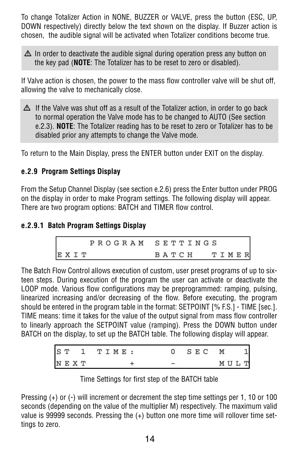To change Totalizer Action in NONE, BUZZER or VALVE, press the button (ESC, UP, DOWN respectively) directly below the text shown on the display. If Buzzer action is chosen, the audible signal will be activated when Totalizer conditions become true.

 $\Delta$  In order to deactivate the audible signal during operation press any button on the key pad (**NOTE**: The Totalizer has to be reset to zero or disabled).

If Valve action is chosen, the power to the mass flow controller valve will be shut off, allowing the valve to mechanically close.

 $\Delta$  If the Valve was shut off as a result of the Totalizer action, in order to go back to normal operation the Valve mode has to be changed to AUTO (See section e.2.3). **NOTE**: The Totalizer reading has to be reset to zero or Totalizer has to be disabled prior any attempts to change the Valve mode.

To return to the Main Display, press the ENTER button under EXIT on the display.

# **e.2.9 Program Settings Display**

From the Setup Channel Display (see section e.2.6) press the Enter button under PROG on the display in order to make Program settings. The following display will appear. There are two program options: BATCH and TIMER flow control.

### **e.2.9.1 Batch Program Settings Display**

|      | PROGRAM SETTINGS |
|------|------------------|
| EXIT | TIMER<br>ВАТСН   |

The Batch Flow Control allows execution of custom, user preset programs of up to sixteen steps. During execution of the program the user can activate or deactivate the LOOP mode. Various flow configurations may be preprogrammed: ramping, pulsing, linearized increasing and/or decreasing of the flow. Before executing, the program should be entered in the program table in the format: SETPOINT [% F.S.] - TIME [sec.]. TIME means: time it takes for the value of the output signal from mass flow controller to linearly approach the SETPOINT value (ramping). Press the DOWN button under BATCH on the display, to set up the BATCH table. The following display will appear.

| ST   |  | TIME: |  |  |  | S E C | Μ |     |              |
|------|--|-------|--|--|--|-------|---|-----|--------------|
| NEXT |  |       |  |  |  |       |   | MUL | $\mathsf{L}$ |

| Time Settings for first step of the BATCH table |  |
|-------------------------------------------------|--|
|-------------------------------------------------|--|

Pressing (+) or (-) will increment or decrement the step time settings per 1, 10 or 100 seconds (depending on the value of the multiplier M) respectively. The maximum valid value is 99999 seconds. Pressing the (+) button one more time will rollover time settings to zero.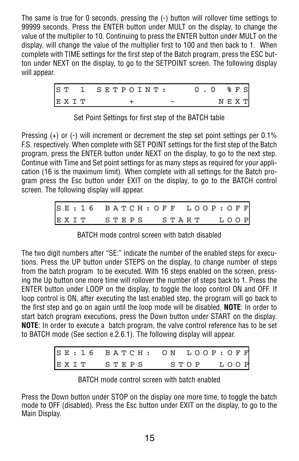The same is true for 0 seconds, pressing the (-) button will rollover time settings to 99999 seconds. Press the ENTER button under MULT on the display, to change the value of the multiplier to 10. Continuing to press the ENTER button under MULT on the display, will change the value of the multiplier first to 100 and then back to 1. When complete with TIME settings for the first step of the Batch program, press the ESC button under NEXT on the display, to go to the SETPOINT screen. The following display will appear.

|      | ST 1 SETPOINT: |  | 0.0 |  | % F S     |
|------|----------------|--|-----|--|-----------|
| EXIT |                |  |     |  | $N E X T$ |

Set Point Settings for first step of the BATCH table

Pressing (+) or (-) will increment or decrement the step set point settings per 0.1% F.S. respectively. When complete with SET POINT settings for the first step of the Batch program, press the ENTER button under NEXT on the display, to go to the next step. Continue with Time and Set point settings for as many steps as required for your application (16 is the maximum limit). When complete with all settings for the Batch program press the Esc button under EXIT on the display, to go to the BATCH control screen. The following display will appear.

| SE: 16 BATCH: OFF LOOP: OFF |  |  |  |  |  |  |  |  |
|-----------------------------|--|--|--|--|--|--|--|--|
| EXIT STEPS START LOOP       |  |  |  |  |  |  |  |  |

BATCH mode control screen with batch disabled

The two digit numbers after "SE:" indicate the number of the enabled steps for executions. Press the UP button under STEPS on the display, to change number of steps from the batch program to be executed. With 16 steps enabled on the screen, pressing the Up button one more time will rollover the number of steps back to 1. Press the ENTER button under LOOP on the display, to toggle the loop control ON and OFF. If loop control is ON, after executing the last enabled step, the program will go back to the first step and go on again until the loop mode will be disabled. **NOTE**: In order to start batch program executions, press the Down button under START on the display. **NOTE**: In order to execute a batch program, the valve control reference has to be set to BATCH mode (See section e.2.6.1). The following display will appear.

|            | SE: 16 BATCH: ON LOOP: OFF |  |
|------------|----------------------------|--|
| EXIT STEPS | STOP LOOP                  |  |

BATCH mode control screen with batch enabled

Press the Down button under STOP on the display one more time, to toggle the batch mode to OFF (disabled). Press the Esc button under EXIT on the display, to go to the Main Display.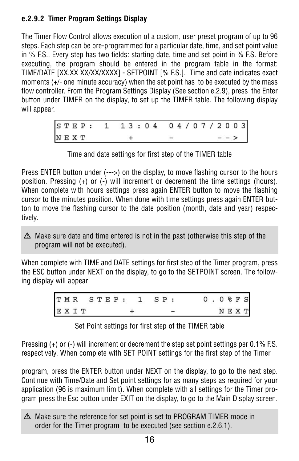# **e.2.9.2 Timer Program Settings Display**

The Timer Flow Control allows execution of a custom, user preset program of up to 96 steps. Each step can be pre-programmed for a particular date, time, and set point value in % F.S.. Every step has two fields: starting date, time and set point in % F.S. Before executing, the program should be entered in the program table in the format: TIME/DATE [XX.XX XX/XX/XXXX] - SETPOINT [% F.S.]. Time and date indicates exact moments (+/- one minute accuracy) when the set point has to be executed by the mass flow controller. From the Program Settings Display (See section e.2.9), press the Enter button under TIMER on the display, to set up the TIMER table. The following display will appear.

| STEP: 1 13:04 04/07/2003 |  |  |  |  |  |
|--------------------------|--|--|--|--|--|
| NEXT                     |  |  |  |  |  |

Time and date settings for first step of the TIMER table

Press ENTER button under (--->) on the display, to move flashing cursor to the hours position. Pressing (+) or (-) will increment or decrement the time settings (hours). When complete with hours settings press again ENTER button to move the flashing cursor to the minutes position. When done with time settings press again ENTER button to move the flashing cursor to the date position (month, date and year) respectively.

 $\Delta$  Make sure date and time entered is not in the past (otherwise this step of the program will not be executed).

When complete with TIME and DATE settings for first step of the Timer program, press the ESC button under NEXT on the display, to go to the SETPOINT screen. The following display will appear

|      |  |  |  | TMR STEP: 1 SP: |  |  | $0.0$ % $F S$ |  |  |
|------|--|--|--|-----------------|--|--|---------------|--|--|
| EXIT |  |  |  |                 |  |  | NEXT          |  |  |

Set Point settings for first step of the TIMER table

Pressing (+) or (-) will increment or decrement the step set point settings per 0.1% F.S. respectively. When complete with SET POINT settings for the first step of the Timer

program, press the ENTER button under NEXT on the display, to go to the next step. Continue with Time/Date and Set point settings for as many steps as required for your application (96 is maximum limit). When complete with all settings for the Timer program press the Esc button under EXIT on the display, to go to the Main Display screen.

 $\Delta$  Make sure the reference for set point is set to PROGRAM TIMER mode in order for the Timer program to be executed (see section e.2.6.1).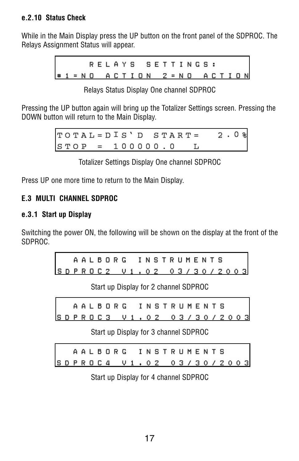#### **e.2.10 Status Check**

While in the Main Display press the UP button on the front panel of the SDPROC. The Relays Assignment Status will appear.

> RELAYS SETTINGS: #1 = NO ACTION 2 = NO ACTION

|  |  | Relays Status Display One channel SDPROC |
|--|--|------------------------------------------|
|  |  |                                          |

Pressing the UP button again will bring up the Totalizer Settings screen. Pressing the DOWN button will return to the Main Display.

> $\texttt{TOTAL} = \texttt{DIS'}$  D  $\texttt{START} =$  $2.0%$  $STOP = 100000.0 L$

> > Totalizer Settings Display One channel SDPROC

Press UP one more time to return to the Main Display.

### **E.3 MULTI CHANNEL SDPROC**

### **e.3.1 Start up Display**

Switching the power ON, the following will be shown on the display at the front of the SDPROC.

|  |  |  | AALBORG INSTRUMENTS       |  |  |  |  |  |  |  |
|--|--|--|---------------------------|--|--|--|--|--|--|--|
|  |  |  | SDPROC2 V1, 02 03/30/2003 |  |  |  |  |  |  |  |

Start up Display for 2 channel SDPROC

|  |  |  |  |  | AALBORG INSTRUMENTS      |  |  |  |  |  |  |
|--|--|--|--|--|--------------------------|--|--|--|--|--|--|
|  |  |  |  |  | SDPROC3 V1.02 03/30/2003 |  |  |  |  |  |  |

Start up Display for 3 channel SDPROC

|  |  |  |  | AALBORG                  |  | I N S T R U M E N T S |  |  |  |  |  |  |
|--|--|--|--|--------------------------|--|-----------------------|--|--|--|--|--|--|
|  |  |  |  | SDPROC4 V1.02 03/30/2003 |  |                       |  |  |  |  |  |  |

Start up Display for 4 channel SDPROC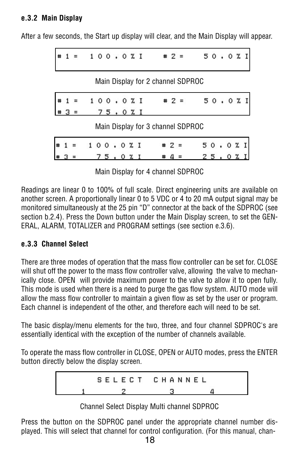### **e.3.2 Main Display**

After a few seconds, the Start up display will clear, and the Main Display will appear.

|  | $=$ | 100 . 0 % I   |         |  |  |                                   |         | $42 =$ |                  |     |  | 50,0%I |  |
|--|-----|---------------|---------|--|--|-----------------------------------|---------|--------|------------------|-----|--|--------|--|
|  |     |               |         |  |  | Main Display for 2 channel SDPROC |         |        |                  |     |  |        |  |
|  |     | $= 100.0 x I$ |         |  |  |                                   |         |        | $\pm 2 = 50.021$ |     |  |        |  |
|  |     |               | 75.0%I  |  |  |                                   |         |        |                  |     |  |        |  |
|  |     |               |         |  |  | Main Display for 3 channel SDPROC |         |        |                  |     |  |        |  |
|  |     |               | 100.021 |  |  |                                   | $# 2 =$ |        |                  |     |  | 50.0%I |  |
|  |     |               | 75.0%I  |  |  |                                   |         |        |                  | 25. |  |        |  |

Main Display for 4 channel SDPROC

Readings are linear 0 to 100% of full scale. Direct engineering units are available on another screen. A proportionally linear 0 to 5 VDC or 4 to 20 mA output signal may be monitored simultaneously at the 25 pin "D" connector at the back of the SDPROC (see section b.2.4). Press the Down button under the Main Display screen, to set the GEN-ERAL, ALARM, TOTALIZER and PROGRAM settings (see section e.3.6).

### **e.3.3 Channel Select**

There are three modes of operation that the mass flow controller can be set for. CLOSE will shut off the power to the mass flow controller valve, allowing the valve to mechanically close. OPEN will provide maximum power to the valve to allow it to open fully. This mode is used when there is a need to purge the gas flow system. AUTO mode will allow the mass flow controller to maintain a given flow as set by the user or program. Each channel is independent of the other, and therefore each will need to be set.

The basic display/menu elements for the two, three, and four channel SDPROC's are essentially identical with the exception of the number of channels available.

To operate the mass flow controller in CLOSE, OPEN or AUTO modes, press the ENTER button directly below the display screen.

> SELECT CHANNEL  $\overline{2}$ з 4

> > Channel Select Display Multi channel SDPROC

Press the button on the SDPROC panel under the appropriate channel number displayed. This will select that channel for control configuration. (For this manual, chan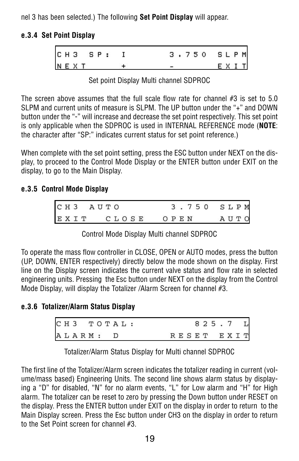nel 3 has been selected.) The following **Set Point Display** will appear.

## **e.3.4 Set Point Display**

|      |  | CH3 SP: |  | 3.750 SLPM |      |
|------|--|---------|--|------------|------|
| NEXT |  |         |  |            | EXIT |

Set point Display Multi channel SDPROC

The screen above assumes that the full scale flow rate for channel  $#3$  is set to 5.0 SLPM and current units of measure is SLPM. The UP button under the "+" and DOWN button under the "-" will increase and decrease the set point respectively. This set point is only applicable when the SDPROC is used in INTERNAL REFERENCE mode (**NOTE**: the character after "SP:" indicates current status for set point reference.)

When complete with the set point setting, press the ESC button under NEXT on the display, to proceed to the Control Mode Display or the ENTER button under EXIT on the display, to go to the Main Display.

# **e.3.5 Control Mode Display**

|  | CH3 AUTO |       |  |      |  |  | 3.750 SLPM |             |  |  |
|--|----------|-------|--|------|--|--|------------|-------------|--|--|
|  | EXIT     | CLOSE |  | OPEN |  |  |            | <b>AUTO</b> |  |  |

Control Mode Display Multi channel SDPROC

To operate the mass flow controller in CLOSE, OPEN or AUTO modes, press the button (UP, DOWN, ENTER respectively) directly below the mode shown on the display. First line on the Display screen indicates the current valve status and flow rate in selected engineering units. Pressing the Esc button under NEXT on the display from the Control Mode Display, will display the Totalizer /Alarm Screen for channel #3.

# **e.3.6 Totalizer/Alarm Status Display**

|  |  |          | CH3 TOTAL: |  |  |  |  | 825.7 L    |  |
|--|--|----------|------------|--|--|--|--|------------|--|
|  |  | ALARM: D |            |  |  |  |  | RESET EXIT |  |

Totalizer/Alarm Status Display for Multi channel SDPROC

The first line of the Totalizer/Alarm screen indicates the totalizer reading in current (volume/mass based) Engineering Units. The second line shows alarm status by displaying a "D" for disabled, "N" for no alarm events, "L" for Low alarm and "H" for High alarm. The totalizer can be reset to zero by pressing the Down button under RESET on the display. Press the ENTER button under EXIT on the display in order to return to the Main Display screen. Press the Esc button under CH3 on the display in order to return to the Set Point screen for channel #3.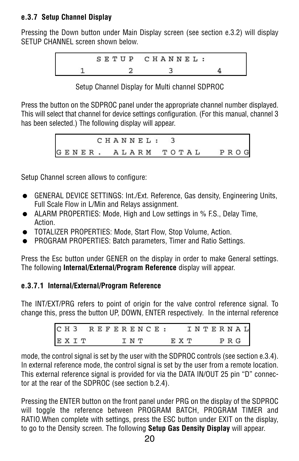# **e.3.7 Setup Channel Display**

Pressing the Down button under Main Display screen (see section e.3.2) will display SETUP CHANNEL screen shown below.

$$
\begin{array}{cccc}\n & S \ E \ T \ U \ P & C \ H \ A \ N \ N \ E \ L : \\
1 & 2 & 3 & 4\n\end{array}
$$

Setup Channel Display for Multi channel SDPROC

Press the button on the SDPROC panel under the appropriate channel number displayed. This will select that channel for device settings configuration. (For this manual, channel 3 has been selected.) The following display will appear.

> CHANNEL:  $\overline{\mathbf{3}}$ GENER. ALARM TOTAL PROG

Setup Channel screen allows to configure:

- GENERAL DEVICE SETTINGS: Int./Ext. Reference, Gas density, Engineering Units, Full Scale Flow in L/Min and Relays assignment.
- ALARM PROPERTIES: Mode, High and Low settings in % F.S., Delay Time, Action.
- $\bullet$  TOTALIZER PROPERTIES: Mode, Start Flow, Stop Volume, Action.
- PROGRAM PROPERTIES: Batch parameters, Timer and Ratio Settings.

Press the Esc button under GENER on the display in order to make General settings. The following **Internal/External/Program Reference** display will appear.

# **e.3.7.1 Internal/External/Program Reference**

The INT/EXT/PRG refers to point of origin for the valve control reference signal. To change this, press the button UP, DOWN, ENTER respectively. In the internal reference

| CH3 REFERENCE: |  |  |  |       |  |  |     |  |  |  | INTERNAL |  |
|----------------|--|--|--|-------|--|--|-----|--|--|--|----------|--|
| EXIT           |  |  |  | I N T |  |  | EХТ |  |  |  | PRG      |  |

mode, the control signal is set by the user with the SDPROC controls (see section e.3.4). In external reference mode, the control signal is set by the user from a remote location. This external reference signal is provided for via the DATA IN/OUT 25 pin "D" connector at the rear of the SDPROC (see section b.2.4).

Pressing the ENTER button on the front panel under PRG on the display of the SDPROC will toggle the reference between PROGRAM BATCH, PROGRAM TIMER and RATIO.When complete with settings, press the ESC button under EXIT on the display, to go to the Density screen. The following **Setup Gas Density Display** will appear.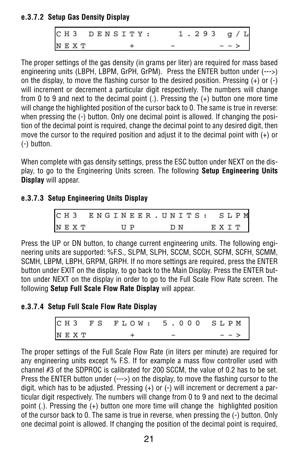### **e.3.7.2 Setup Gas Density Display**

| CH3 DENSITY: |  |  |  |  | <b>ANGELA</b> |   |  | 293 |  | g /  | L |
|--------------|--|--|--|--|---------------|---|--|-----|--|------|---|
| NEXT         |  |  |  |  |               | _ |  |     |  | $ -$ |   |

The proper settings of the gas density (in grams per liter) are required for mass based engineering units (LBPH, LBPM, GrPH, GrPM). Press the ENTER button under (--->) on the display, to move the flashing cursor to the desired position. Pressing (+) or (-) will increment or decrement a particular digit respectively. The numbers will change from 0 to 9 and next to the decimal point (.). Pressing the (+) button one more time will change the highlighted position of the cursor back to 0. The same is true in reverse: when pressing the (-) button. Only one decimal point is allowed. If changing the position of the decimal point is required, change the decimal point to any desired digit, then move the cursor to the required position and adjust it to the decimal point with (+) or (-) button.

When complete with gas density settings, press the ESC button under NEXT on the display, to go to the Engineering Units screen. The following **Setup Engineering Units Display** will appear.

### **e.3.7.3 Setup Engineering Units Display**

| CH3 ENGINEER. UNITS: SLPM |  |  |  |                         |  |  |     |  |  |      |  |  |
|---------------------------|--|--|--|-------------------------|--|--|-----|--|--|------|--|--|
| NEXT                      |  |  |  | $\mathbf{U} \mathbf{P}$ |  |  | D N |  |  | EXIT |  |  |

Press the UP or DN button, to change current engineering units. The following engineering units are supported: %F.S., SLPM, SLPH, SCCM, SCCH, SCFM, SCFH, SCMM, SCMH, LBPM, LBPH, GRPM, GRPH. If no more settings are required, press the ENTER button under EXIT on the display, to go back to the Main Display. Press the ENTER button under NEXT on the display in order to go to the Full Scale Flow Rate screen. The following **Setup Full Scale Flow Rate Display** will appear.

#### **e.3.7.4 Setup Full Scale Flow Rate Display**

The proper settings of the Full Scale Flow Rate (in liters per minute) are required for any engineering units except % F.S. If for example a mass flow controller used with channel #3 of the SDPROC is calibrated for 200 SCCM, the value of 0.2 has to be set. Press the ENTER button under (--->) on the display, to move the flashing cursor to the digit, which has to be adjusted. Pressing (+) or (-) will increment or decrement a particular digit respectively. The numbers will change from 0 to 9 and next to the decimal point (.). Pressing the (+) button one more time will change the highlighted position of the cursor back to 0. The same is true in reverse, when pressing the (-) button. Only one decimal point is allowed. If changing the position of the decimal point is required,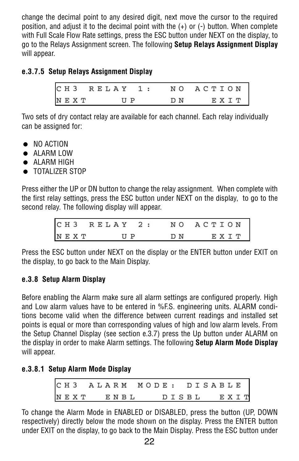change the decimal point to any desired digit, next move the cursor to the required position, and adjust it to the decimal point with the (+) or (-) button. When complete with Full Scale Flow Rate settings, press the ESC button under NEXT on the display, to go to the Relays Assignment screen. The following **Setup Relays Assignment Display** will appear.

### **e.3.7.5 Setup Relays Assignment Display**

|      |  |  |  |         |  | CH3 RELAY 1: NO ACTION |     |      |  |  |
|------|--|--|--|---------|--|------------------------|-----|------|--|--|
| NEXT |  |  |  | $U$ $P$ |  |                        | D N | EXIT |  |  |

Two sets of dry contact relay are available for each channel. Each relay individually can be assigned for:

- NO ACTION
- ALARM LOW
- $\bullet$  ALARM HIGH
- $\bullet$  TOTALIZER STOP

Press either the UP or DN button to change the relay assignment. When complete with the first relay settings, press the ESC button under NEXT on the display, to go to the second relay. The following display will appear.

|      | CH3 RELAY 2: NO ACTION |     |      |
|------|------------------------|-----|------|
| NEXT | $II$ $P$               | D N | EXIT |

Press the ESC button under NEXT on the display or the ENTER button under EXIT on the display, to go back to the Main Display.

### **e.3.8 Setup Alarm Display**

Before enabling the Alarm make sure all alarm settings are configured properly. High and Low alarm values have to be entered in %F.S. engineering units. ALARM conditions become valid when the difference between current readings and installed set points is equal or more than corresponding values of high and low alarm levels. From the Setup Channel Display (see section e.3.7) press the Up button under ALARM on the display in order to make Alarm settings. The following **Setup Alarm Mode Display** will appear.

#### **e.3.8.1 Setup Alarm Mode Display**

| CH3 ALARM MODE: DISABLE |  |  |  |  |  |  |  |  |  |  |            |  |
|-------------------------|--|--|--|--|--|--|--|--|--|--|------------|--|
| NEXT ENBL               |  |  |  |  |  |  |  |  |  |  | DISBL EXIT |  |

To change the Alarm Mode in ENABLED or DISABLED, press the button (UP, DOWN respectively) directly below the mode shown on the display. Press the ENTER button under EXIT on the display, to go back to the Main Display. Press the ESC button under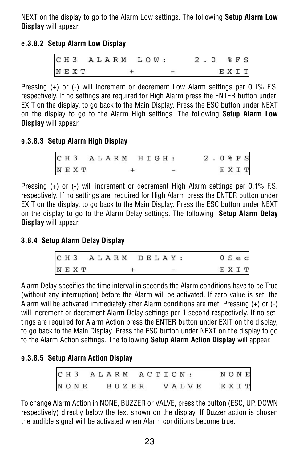NEXT on the display to go to the Alarm Low settings. The following **Setup Alarm Low Display** will appear.

### **e.3.8.2 Setup Alarm Low Display**

|  |      |  | CH3 ALARM LOW: |  |  |  | 2.0 %FS |  |      |  |
|--|------|--|----------------|--|--|--|---------|--|------|--|
|  | NEXT |  |                |  |  |  |         |  | EXIT |  |

Pressing (+) or (-) will increment or decrement Low Alarm settings per 0.1% F.S. respectively. If no settings are required for High Alarm press the ENTER button under EXIT on the display, to go back to the Main Display. Press the ESC button under NEXT on the display to go to the Alarm High settings. The following **Setup Alarm Low Display** will appear.

# **e.3.8.3 Setup Alarm High Display**

| CH3 ALARM HIGH: |  |  |  |  |  |  |  |  | 2.0%FS |  |      |  |
|-----------------|--|--|--|--|--|--|--|--|--------|--|------|--|
| NEXT            |  |  |  |  |  |  |  |  |        |  | EXIT |  |

Pressing (+) or (-) will increment or decrement High Alarm settings per 0.1% F.S. respectively. If no settings are required for High Alarm press the ENTER button under EXIT on the display, to go back to the Main Display. Press the ESC button under NEXT on the display to go to the Alarm Delay settings. The following **Setup Alarm Delay Display** will appear.

### **3.8.4 Setup Alarm Delay Display**

| CH3 ALARM DELAY: |  |  |  |  |  |  |  |  |      | 0 S e c |  |
|------------------|--|--|--|--|--|--|--|--|------|---------|--|
| NEXT             |  |  |  |  |  |  |  |  | EXIT |         |  |

Alarm Delay specifies the time interval in seconds the Alarm conditions have to be True (without any interruption) before the Alarm will be activated. If zero value is set, the Alarm will be activated immediately after Alarm conditions are met. Pressing (+) or (-) will increment or decrement Alarm Delay settings per 1 second respectively. If no settings are required for Alarm Action press the ENTER button under EXIT on the display, to go back to the Main Display. Press the ESC button under NEXT on the display to go to the Alarm Action settings. The following **Setup Alarm Action Display** will appear.

### **e.3.8.5 Setup Alarm Action Display**

| C H 3 |  |  |  |  |       |  | ALARM ACTION: |  |  |       | $\mathbb N$ O $\mathbb N$ E |  |  |
|-------|--|--|--|--|-------|--|---------------|--|--|-------|-----------------------------|--|--|
| NONE  |  |  |  |  | BUZER |  |               |  |  | VALVE | EXIT                        |  |  |

To change Alarm Action in NONE, BUZZER or VALVE, press the button (ESC, UP, DOWN respectively) directly below the text shown on the display. If Buzzer action is chosen the audible signal will be activated when Alarm conditions become true.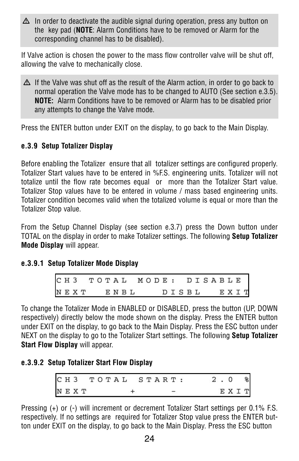$\Delta$  In order to deactivate the audible signal during operation, press any button on the key pad (**NOTE**: Alarm Conditions have to be removed or Alarm for the corresponding channel has to be disabled).

If Valve action is chosen the power to the mass flow controller valve will be shut off, allowing the valve to mechanically close.

 $\Delta$  If the Valve was shut off as the result of the Alarm action, in order to go back to normal operation the Valve mode has to be changed to AUTO (See section e.3.5). **NOTE:** Alarm Conditions have to be removed or Alarm has to be disabled prior any attempts to change the Valve mode.

Press the ENTER button under EXIT on the display, to go back to the Main Display.

# **e.3.9 Setup Totalizer Display**

Before enabling the Totalizer ensure that all totalizer settings are configured properly. Totalizer Start values have to be entered in %F.S. engineering units. Totalizer will not totalize until the flow rate becomes equal or more than the Totalizer Start value. Totalizer Stop values have to be entered in volume / mass based engineering units. Totalizer condition becomes valid when the totalized volume is equal or more than the Totalizer Stop value.

From the Setup Channel Display (see section e.3.7) press the Down button under TOTAL on the display in order to make Totalizer settings. The following **Setup Totalizer Mode Display** will appear.

### **e.3.9.1 Setup Totalizer Mode Display**

|  |  |  |  | CH3 TOTAL MODE: DISABLE |  |  |       |  |  |  |      |  |
|--|--|--|--|-------------------------|--|--|-------|--|--|--|------|--|
|  |  |  |  | NEXT ENBL               |  |  | DISBL |  |  |  | EXIT |  |

To change the Totalizer Mode in ENABLED or DISABLED, press the button (UP, DOWN respectively) directly below the mode shown on the display. Press the ENTER button under EXIT on the display, to go back to the Main Display. Press the ESC button under NEXT on the display to go to the Totalizer Start settings. The following **Setup Totalizer Start Flow Display** will appear.

### **e.3.9.2 Setup Totalizer Start Flow Display**

| CH3 TOTAL START: |  |  |  |  |  |  |  |  | 2.0 |      | 윙 |
|------------------|--|--|--|--|--|--|--|--|-----|------|---|
| NEXT             |  |  |  |  |  |  |  |  |     | EXIT |   |

Pressing (+) or (-) will increment or decrement Totalizer Start settings per 0.1% F.S. respectively. If no settings are required for Totalizer Stop value press the ENTER button under EXIT on the display, to go back to the Main Display. Press the ESC button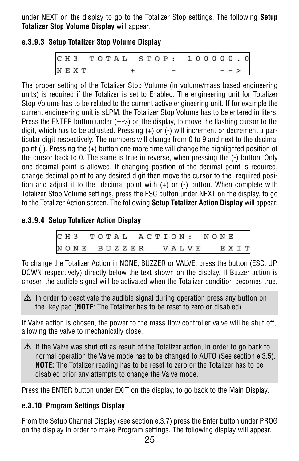under NEXT on the display to go to the Totalizer Stop settings. The following **Setup Totalizer Stop Volume Display** will appear.

# **e.3.9.3 Setup Totalizer Stop Volume Display**

CH3 TOTAL STOP: 100000.0  $N E X T$  + - - - >

The proper setting of the Totalizer Stop Volume (in volume/mass based engineering units) is required if the Totalizer is set to Enabled. The engineering unit for Totalizer Stop Volume has to be related to the current active engineering unit. If for example the current engineering unit is sLPM, the Totalizer Stop Volume has to be entered in liters. Press the ENTER button under (--->) on the display, to move the flashing cursor to the digit, which has to be adjusted. Pressing (+) or (-) will increment or decrement a particular digit respectively. The numbers will change from 0 to 9 and next to the decimal point (.). Pressing the (+) button one more time will change the highlighted position of the cursor back to 0. The same is true in reverse, when pressing the (-) button. Only one decimal point is allowed. If changing position of the decimal point is required, change decimal point to any desired digit then move the cursor to the required position and adjust it to the decimal point with  $(+)$  or  $(-)$  button. When complete with Totalizer Stop Volume settings, press the ESC button under NEXT on the display, to go to the Totalizer Action screen. The following **Setup Totalizer Action Display** will appear.

# **e.3.9.4 Setup Totalizer Action Display**

|  |  |  | CH3 TOTAL ACTION: NONE |  |  |  |  |  |  |  |  |
|--|--|--|------------------------|--|--|--|--|--|--|--|--|
|  |  |  | NONE BUZZER VALVE EXIT |  |  |  |  |  |  |  |  |

To change the Totalizer Action in NONE, BUZZER or VALVE, press the button (ESC, UP, DOWN respectively) directly below the text shown on the display. If Buzzer action is chosen the audible signal will be activated when the Totalizer condition becomes true.

 $\Delta$  In order to deactivate the audible signal during operation press any button on the key pad (**NOTE**: The Totalizer has to be reset to zero or disabled).

If Valve action is chosen, the power to the mass flow controller valve will be shut off, allowing the valve to mechanically close.

 $\Delta$  If the Valve was shut off as result of the Totalizer action, in order to go back to normal operation the Valve mode has to be changed to AUTO (See section e.3.5). **NOTE:** The Totalizer reading has to be reset to zero or the Totalizer has to be disabled prior any attempts to change the Valve mode.

Press the ENTER button under EXIT on the display, to go back to the Main Display.

# **e.3.10 Program Settings Display**

From the Setup Channel Display (see section e.3.7) press the Enter button under PROG on the display in order to make Program settings. The following display will appear.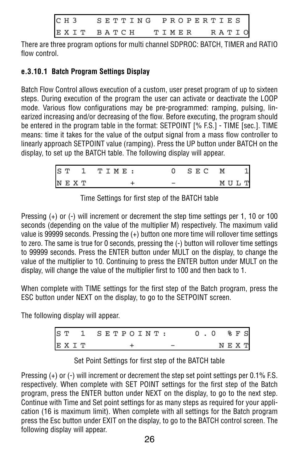| C H 3 |            |  | SETTING PROPERTIES |  |       |  |  |  |       |  |
|-------|------------|--|--------------------|--|-------|--|--|--|-------|--|
|       | EXIT BATCH |  |                    |  | TIMER |  |  |  | RATIO |  |

There are three program options for multi channel SDPROC: BATCH, TIMER and RATIO flow control.

# **e.3.10.1 Batch Program Settings Display**

Batch Flow Control allows execution of a custom, user preset program of up to sixteen steps. During execution of the program the user can activate or deactivate the LOOP mode. Various flow configurations may be pre-programmed: ramping, pulsing, linearized increasing and/or decreasing of the flow. Before executing, the program should be entered in the program table in the format: SETPOINT [% F.S.] - TIME [sec.]. TIME means: time it takes for the value of the output signal from a mass flow controller to linearly approach SETPOINT value (ramping). Press the UP button under BATCH on the display, to set up the BATCH table. The following display will appear.

| S T |      | TIME : |  |  | S E C | M    |  |
|-----|------|--------|--|--|-------|------|--|
|     | NEXT |        |  |  |       | MULT |  |

Time Settings for first step of the BATCH table

Pressing (+) or (-) will increment or decrement the step time settings per 1, 10 or 100 seconds (depending on the value of the multiplier M) respectively. The maximum valid value is 99999 seconds. Pressing the (+) button one more time will rollover time settings to zero. The same is true for 0 seconds, pressing the (-) button will rollover time settings to 99999 seconds. Press the ENTER button under MULT on the display, to change the value of the multiplier to 10. Continuing to press the ENTER button under MULT on the display, will change the value of the multiplier first to 100 and then back to 1.

When complete with TIME settings for the first step of the Batch program, press the ESC button under NEXT on the display, to go to the SETPOINT screen.

The following display will appear.

|      | ST 1 SETPOINT: |  | 0.0  | % F S |  |
|------|----------------|--|------|-------|--|
| EXIT |                |  | NEXT |       |  |

Pressing (+) or (-) will increment or decrement the step set point settings per 0.1% F.S. respectively. When complete with SET POINT settings for the first step of the Batch program, press the ENTER button under NEXT on the display, to go to the next step. Continue with Time and Set point settings for as many steps as required for your application (16 is maximum limit). When complete with all settings for the Batch program press the Esc button under EXIT on the display, to go to the BATCH control screen. The following display will appear.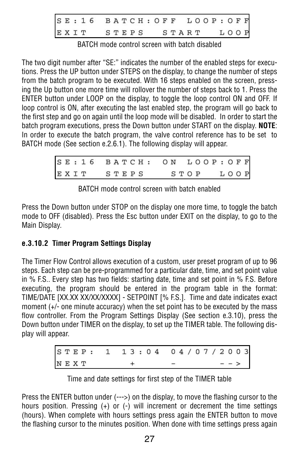| SE: 16 BATCH: OFF LOOP: OFF |  |  |  |  |  |  |  |  |  |  |  |
|-----------------------------|--|--|--|--|--|--|--|--|--|--|--|
| EXIT STEPS START LOOP       |  |  |  |  |  |  |  |  |  |  |  |

BATCH mode control screen with batch disabled

The two digit number after "SE:" indicates the number of the enabled steps for executions. Press the UP button under STEPS on the display, to change the number of steps from the batch program to be executed. With 16 steps enabled on the screen, pressing the Up button one more time will rollover the number of steps back to 1. Press the ENTER button under LOOP on the display, to toggle the loop control ON and OFF. If loop control is ON, after executing the last enabled step, the program will go back to the first step and go on again until the loop mode will be disabled. In order to start the batch program executions, press the Down button under START on the display. **NOTE**: In order to execute the batch program, the valve control reference has to be set to BATCH mode (See section e.2.6.1). The following display will appear.

|            | SE: 16 BATCH: ON LOOP: OFF |  |
|------------|----------------------------|--|
| EXIT STEPS | STOP LOOP                  |  |

BATCH mode control screen with batch enabled

Press the Down button under STOP on the display one more time, to toggle the batch mode to OFF (disabled). Press the Esc button under EXIT on the display, to go to the Main Display.

# **e.3.10.2 Timer Program Settings Display**

The Timer Flow Control allows execution of a custom, user preset program of up to 96 steps. Each step can be pre-programmed for a particular date, time, and set point value in % F.S.. Every step has two fields: starting date, time and set point in % F.S. Before executing, the program should be entered in the program table in the format: TIME/DATE [XX.XX XX/XX/XXXX] - SETPOINT [% F.S.]. Time and date indicates exact moment (+/- one minute accuracy) when the set point has to be executed by the mass flow controller. From the Program Settings Display (See section e.3.10), press the Down button under TIMER on the display, to set up the TIMER table. The following display will appear.

| STEP: 1 13:04 04/07/2003 |  |  |  |  |
|--------------------------|--|--|--|--|
| NEXT                     |  |  |  |  |

|  |  |  | Time and date settings for first step of the TIMER table |  |  |  |  |  |  |  |
|--|--|--|----------------------------------------------------------|--|--|--|--|--|--|--|
|--|--|--|----------------------------------------------------------|--|--|--|--|--|--|--|

Press the ENTER button under (--->) on the display, to move the flashing cursor to the hours position. Pressing (+) or (-) will increment or decrement the time settings (hours). When complete with hours settings press again the ENTER button to move the flashing cursor to the minutes position. When done with time settings press again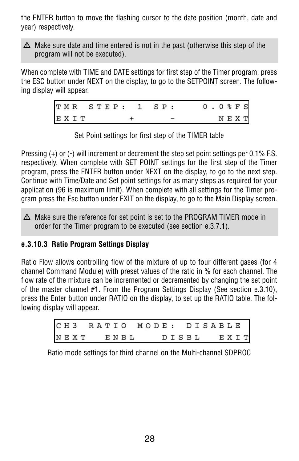the ENTER button to move the flashing cursor to the date position (month, date and year) respectively.

 $\Delta$  Make sure date and time entered is not in the past (otherwise this step of the program will not be executed).

When complete with TIME and DATE settings for first step of the Timer program, press the ESC button under NEXT on the display, to go to the SETPOINT screen. The following display will appear.

|      |  |  |  |  | TMR STEP: 1 SP: |  |  |  | $0.0$ $8$ $F$ $S$ |  |  |
|------|--|--|--|--|-----------------|--|--|--|-------------------|--|--|
| EXIT |  |  |  |  |                 |  |  |  | $N E X T$         |  |  |

Set Point settings for first step of the TIMER table

Pressing (+) or (-) will increment or decrement the step set point settings per 0.1% F.S. respectively. When complete with SET POINT settings for the first step of the Timer program, press the ENTER button under NEXT on the display, to go to the next step. Continue with Time/Date and Set point settings for as many steps as required for your application (96 is maximum limit). When complete with all settings for the Timer program press the Esc button under EXIT on the display, to go to the Main Display screen.

 $\Delta$  Make sure the reference for set point is set to the PROGRAM TIMER mode in order for the Timer program to be executed (see section e.3.7.1).

### **e.3.10.3 Ratio Program Settings Display**

Ratio Flow allows controlling flow of the mixture of up to four different gases (for 4 channel Command Module) with preset values of the ratio in % for each channel. The flow rate of the mixture can be incremented or decremented by changing the set point of the master channel #1. From the Program Settings Display (See section e.3.10), press the Enter button under RATIO on the display, to set up the RATIO table. The following display will appear.

|           |  |  |  |  | CH3 RATIO MODE: DISABLE |  |  |  |  |  |            |  |
|-----------|--|--|--|--|-------------------------|--|--|--|--|--|------------|--|
| NEXT ENBL |  |  |  |  |                         |  |  |  |  |  | DISBL EXIT |  |

Ratio mode settings for third channel on the Multi-channel SDPROC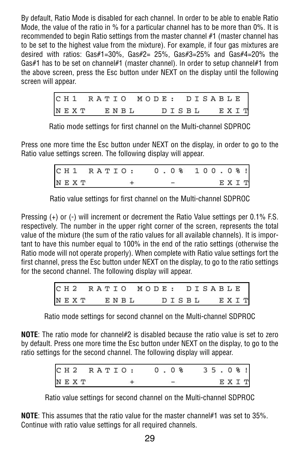By default, Ratio Mode is disabled for each channel. In order to be able to enable Ratio Mode, the value of the ratio in % for a particular channel has to be more than 0%. It is recommended to begin Ratio settings from the master channel #1 (master channel has to be set to the highest value from the mixture). For example, if four gas mixtures are desired with ratios: Gas#1=30%, Gas#2= 25%, Gas#3=25% and Gas#4=20% the Gas#1 has to be set on channel#1 (master channel). In order to setup channel#1 from the above screen, press the Esc button under NEXT on the display until the following screen will appear.

| CH1 RATIO MODE: DISABLE<br>NEXT ENBL DISBL EXIT |  |  |  |  |  |  |  |  |  |  |  |  |
|-------------------------------------------------|--|--|--|--|--|--|--|--|--|--|--|--|
|                                                 |  |  |  |  |  |  |  |  |  |  |  |  |

Ratio mode settings for first channel on the Multi-channel SDPROC

Press one more time the Esc button under NEXT on the display, in order to go to the Ratio value settings screen. The following display will appear.

| CH1 RATIO: 0.0% 100.0%! |  |  |  |  |      |
|-------------------------|--|--|--|--|------|
| NEXT                    |  |  |  |  | EXIT |

Ratio value settings for first channel on the Multi-channel SDPROC

Pressing (+) or (-) will increment or decrement the Ratio Value settings per 0.1% F.S. respectively. The number in the upper right corner of the screen, represents the total value of the mixture (the sum of the ratio values for all available channels). It is important to have this number equal to 100% in the end of the ratio settings (otherwise the Ratio mode will not operate properly). When complete with Ratio value settings fort the first channel, press the Esc button under NEXT on the display, to go to the ratio settings for the second channel. The following display will appear.

| CH2 RATIO MODE: DISABLE |  |  |  |      |  |  |       |  |  |  |      |  |
|-------------------------|--|--|--|------|--|--|-------|--|--|--|------|--|
| NEXT                    |  |  |  | ENBL |  |  | DISBL |  |  |  | EXIT |  |

Ratio mode settings for second channel on the Multi-channel SDPROC

**NOTE**: The ratio mode for channel#2 is disabled because the ratio value is set to zero by default. Press one more time the Esc button under NEXT on the display, to go to the ratio settings for the second channel. The following display will appear.

|  |      | CH2 RATIO: 0.0% 35.0%! |  |  |  |      |  |
|--|------|------------------------|--|--|--|------|--|
|  | NEXT |                        |  |  |  | EXIT |  |

Ratio value settings for second channel on the Multi-channel SDPROC

**NOTE**: This assumes that the ratio value for the master channel#1 was set to 35%. Continue with ratio value settings for all required channels.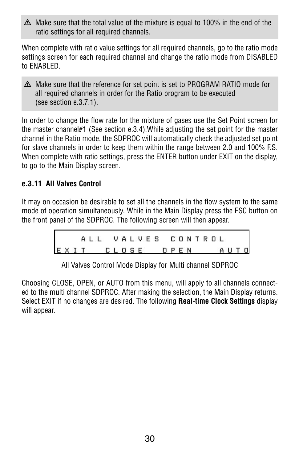$\Delta$  Make sure that the total value of the mixture is equal to 100% in the end of the ratio settings for all required channels.

When complete with ratio value settings for all required channels, go to the ratio mode settings screen for each required channel and change the ratio mode from DISABLED to ENABLED.

 $\Delta$  Make sure that the reference for set point is set to PROGRAM RATIO mode for all required channels in order for the Ratio program to be executed (see section e.3.7.1).

In order to change the flow rate for the mixture of gases use the Set Point screen for the master channel#1 (See section e.3.4).While adjusting the set point for the master channel in the Ratio mode, the SDPROC will automatically check the adjusted set point for slave channels in order to keep them within the range between 2.0 and 100% F.S. When complete with ratio settings, press the ENTER button under EXIT on the display, to go to the Main Display screen.

# **e.3.11 All Valves Control**

It may on occasion be desirable to set all the channels in the flow system to the same mode of operation simultaneously. While in the Main Display press the ESC button on the front panel of the SDPROC. The following screen will then appear.

|                      |  |  |  |  |  |  |  | ALL VALVES CONTROL |  |  |  |  |
|----------------------|--|--|--|--|--|--|--|--------------------|--|--|--|--|
| EXIT CLOSE OPEN AUTO |  |  |  |  |  |  |  |                    |  |  |  |  |

All Valves Control Mode Display for Multi channel SDPROC

Choosing CLOSE, OPEN, or AUTO from this menu, will apply to all channels connected to the multi channel SDPROC. After making the selection, the Main Display returns. Select EXIT if no changes are desired. The following **Real-time Clock Settings** display will appear.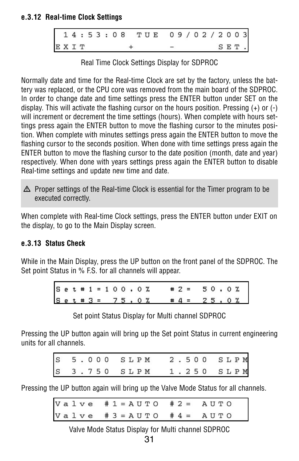### **e.3.12 Real-time Clock Settings**

|      |  |  |  |  |  | 14:53:08 TUE 09/02/2003 |  |  |  |  |      |  |
|------|--|--|--|--|--|-------------------------|--|--|--|--|------|--|
| EXIT |  |  |  |  |  |                         |  |  |  |  | SET. |  |

Real Time Clock Settings Display for SDPROC

Normally date and time for the Real-time Clock are set by the factory, unless the battery was replaced, or the CPU core was removed from the main board of the SDPROC. In order to change date and time settings press the ENTER button under SET on the display. This will activate the flashing cursor on the hours position. Pressing (+) or (-) will increment or decrement the time settings (hours). When complete with hours settings press again the ENTER button to move the flashing cursor to the minutes position. When complete with minutes settings press again the ENTER button to move the flashing cursor to the seconds position. When done with time settings press again the ENTER button to move the flashing cursor to the date position (month, date and year) respectively. When done with years settings press again the ENTER button to disable Real-time settings and update new time and date.

 $\Delta$  Proper settings of the Real-time Clock is essential for the Timer program to be executed correctly.

When complete with Real-time Clock settings, press the ENTER button under EXIT on the display, to go to the Main Display screen.

# **e.3.13 Status Check**

While in the Main Display, press the UP button on the front panel of the SDPROC. The Set point Status in % F.S. for all channels will appear.

|  |  |  |  |  | Set # $1 = 100.0 \times 0 \%$ |  | $# 2 = 50.0%$   |  |  |  |
|--|--|--|--|--|-------------------------------|--|-----------------|--|--|--|
|  |  |  |  |  | $S_{e t}$ = 3 = 75.0%         |  | $\# 4 = 25.0$ % |  |  |  |

Set point Status Display for Multi channel SDPROC

Pressing the UP button again will bring up the Set point Status in current engineering units for all channels.

|  |  |  |  |  | S 5.000 SLPM 2.500 SLPM<br>S 3.750 SLPM 1.250 SLPM |  |  |  |  |
|--|--|--|--|--|----------------------------------------------------|--|--|--|--|
|  |  |  |  |  |                                                    |  |  |  |  |

Pressing the UP button again will bring up the Valve Mode Status for all channels.

| Valve #1=AUTO #2= AUTO    |  |
|---------------------------|--|
| Valve #3 = AUTO #4 = AUTO |  |

Valve Mode Status Display for Multi channel SDPROC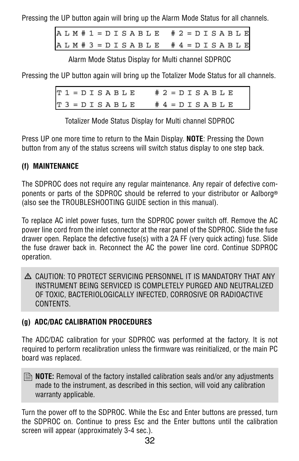Pressing the UP button again will bring up the Alarm Mode Status for all channels.

 $A L M # 1 = D I S A B L E # 2 = D I S A B L E$ ALM # 3 = DISABLE # 4 = DISABLE

Alarm Mode Status Display for Multi channel SDPROC

Pressing the UP button again will bring up the Totalizer Mode Status for all channels.

 $T1 = D I S A B L E$  $# 2 = D I S A B L E$  $3 = D I S A B L E$  $# 4 = D I S A B L E$ 

Totalizer Mode Status Display for Multi channel SDPROC

Press UP one more time to return to the Main Display. **NOTE**: Pressing the Down button from any of the status screens will switch status display to one step back.

# **(f) MAINTENANCE**

The SDPROC does not require any regular maintenance. Any repair of defective components or parts of the SDPROC should be referred to your distributor or Aalborg<sup>®</sup> (also see the TROUBLESHOOTING GUIDE section in this manual).

To replace AC inlet power fuses, turn the SDPROC power switch off. Remove the AC power line cord from the inlet connector at the rear panel of the SDPROC. Slide the fuse drawer open. Replace the defective fuse(s) with a 2A FF (very quick acting) fuse. Slide the fuse drawer back in. Reconnect the AC the power line cord. Continue SDPROC operation.

 $\Delta$  CAUTION: TO PROTECT SERVICING PERSONNEL IT IS MANDATORY THAT ANY INSTRUMENT BEING SERVICED IS COMPLETELY PURGED AND NEUTRALIZED OF TOXIC, BACTERIOLOGICALLY INFECTED, CORROSIVE OR RADIOACTIVE CONTENTS.

# **(g) ADC/DAC CALIBRATION PROCEDURES**

The ADC/DAC calibration for your SDPROC was performed at the factory. It is not required to perform recalibration unless the firmware was reinitialized, or the main PC board was replaced.

**B** NOTE: Removal of the factory installed calibration seals and/or any adjustments made to the instrument, as described in this section, will void any calibration warranty applicable.

Turn the power off to the SDPROC. While the Esc and Enter buttons are pressed, turn the SDPROC on. Continue to press Esc and the Enter buttons until the calibration screen will appear (approximately 3-4 sec.).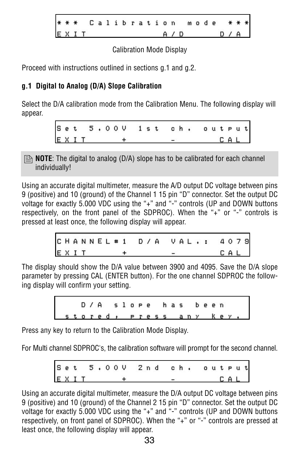Calibration mode EXIT  $A / D$ D

### Calibration Mode Display

Proceed with instructions outlined in sections g.1 and g.2.

# **g.1 Digital to Analog (D/A) Slope Calibration**

Select the D/A calibration mode from the Calibration Menu. The following display will appear.

> $5.00V$  1st Set ch. output  $X I T +$  $\Gamma$  4

**B** NOTE: The digital to analog (D/A) slope has to be calibrated for each channel individually!

Using an accurate digital multimeter, measure the A/D output DC voltage between pins 9 (positive) and 10 (ground) of the Channel 1 15 pin "D" connector. Set the output DC voltage for exactly 5.000 VDC using the "+" and "-" controls (UP and DOWN buttons respectively, on the front panel of the SDPROC). When the "+" or "-" controls is pressed at least once, the following display will appear.

|      |  |  |  |  | CHANNEL #1 D/A VAL.: 4079 |     |  |  |
|------|--|--|--|--|---------------------------|-----|--|--|
| EXIT |  |  |  |  |                           | CAL |  |  |

The display should show the D/A value between 3900 and 4095. Save the D/A slope parameter by pressing CAL (ENTER button). For the one channel SDPROC the following display will confirm your setting.

> $D / A$ slope has been stored, press any key.

Press any key to return to the Calibration Mode Display.

For Multi channel SDPROC's, the calibration software will prompt for the second channel.

 $5.00V$  $2n d$  $c h$ . Set out Pu  $E \times I$  T +  $-$  CAL

Using an accurate digital multimeter, measure the D/A output DC voltage between pins 9 (positive) and 10 (ground) of the Channel 2 15 pin "D" connector. Set the output DC voltage for exactly 5.000 VDC using the "+" and "-" controls (UP and DOWN buttons respectively, on front panel of SDPROC). When the "+" or "-" controls are pressed at least once, the following display will appear.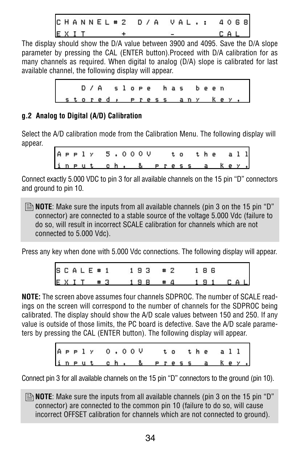CHANNEL # 2 D / A VAL .: 4068 EXIT + - CAL

The display should show the D/A value between 3900 and 4095. Save the D/A slope parameter by pressing the CAL (ENTER button).Proceed with D/A calibration for as many channels as required. When digital to analog (D/A) slope is calibrated for last available channel, the following display will appear.

|                        | D/A slope has been |  |  |  |  |  |  |  |  |  |  |
|------------------------|--------------------|--|--|--|--|--|--|--|--|--|--|
| stored, press any key, |                    |  |  |  |  |  |  |  |  |  |  |

# **g.2 Analog to Digital (A/D) Calibration**

Select the A/D calibration mode from the Calibration Menu. The following display will appear.

|  |  | APPly 5.000V to the all  |  |  |  |  |  |  |  |  |  |
|--|--|--------------------------|--|--|--|--|--|--|--|--|--|
|  |  | input ch, & press a key, |  |  |  |  |  |  |  |  |  |

Connect exactly 5.000 VDC to pin 3 for all available channels on the 15 pin "D" connectors and ground to pin 10.

**B** NOTE: Make sure the inputs from all available channels (pin 3 on the 15 pin "D" connector) are connected to a stable source of the voltage 5.000 Vdc (failure to do so, will result in incorrect SCALE calibration for channels which are not connected to 5.000 Vdc).

Press any key when done with 5.000 Vdc connections. The following display will appear.

|  |      |    | SCALE # 1 | 193 |  | #2           | 186  |  |       |  |
|--|------|----|-----------|-----|--|--------------|------|--|-------|--|
|  | EXIT | #3 |           | 198 |  | $#$ $\Delta$ | 1.91 |  | C A L |  |

**NOTE:** The screen above assumes four channels SDPROC. The number of SCALE readings on the screen will correspond to the number of channels for the SDPROC being calibrated. The display should show the A/D scale values between 150 and 250. If any value is outside of those limits, the PC board is defective. Save the A/D scale parameters by pressing the CAL (ENTER button). The following display will appear.

|  |  | A P P 1 Y 0 . 0 0 V |  |  |                          |  |  |  | to the all |  |  |
|--|--|---------------------|--|--|--------------------------|--|--|--|------------|--|--|
|  |  |                     |  |  | input ch. & press a key. |  |  |  |            |  |  |

Connect pin 3 for all available channels on the 15 pin "D" connectors to the ground (pin 10).

**B** NOTE: Make sure the inputs from all available channels (pin 3 on the 15 pin "D" connector) are connected to the common pin 10 (failure to do so, will cause incorrect OFFSET calibration for channels which are not connected to ground).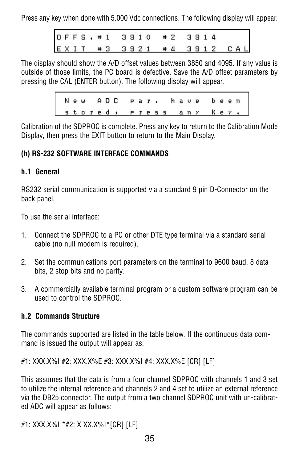Press any key when done with 5.000 Vdc connections. The following display will appear.

|  |  |  |  |  | OFFS. #1 3910 #2 3914 |  |  |                          |  |
|--|--|--|--|--|-----------------------|--|--|--------------------------|--|
|  |  |  |  |  |                       |  |  | EXIT #3 3921 #4 3912 CAL |  |

The display should show the A/D offset values between 3850 and 4095. If any value is outside of those limits, the PC board is defective. Save the A/D offset parameters by pressing the CAL (ENTER button). The following display will appear.

|                        |  |  |  |  |  |  |  | New ADC par, have been |  |  |
|------------------------|--|--|--|--|--|--|--|------------------------|--|--|
| stored, press any key. |  |  |  |  |  |  |  |                        |  |  |

Calibration of the SDPROC is complete. Press any key to return to the Calibration Mode Display, then press the EXIT button to return to the Main Display.

# **(h) RS-232 SOFTWARE INTERFACE COMMANDS**

### **h.1 General**

RS232 serial communication is supported via a standard 9 pin D-Connector on the back panel.

To use the serial interface:

- 1. Connect the SDPROC to a PC or other DTE type terminal via a standard serial cable (no null modem is required).
- 2. Set the communications port parameters on the terminal to 9600 baud, 8 data bits, 2 stop bits and no parity.
- 3. A commercially available terminal program or a custom software program can be used to control the SDPROC.

### **h.2 Commands Structure**

The commands supported are listed in the table below. If the continuous data command is issued the output will appear as:

#1: XXX.X%I #2: XXX.X%E #3: XXX.X%I #4: XXX.X%E [CR] [LF]

This assumes that the data is from a four channel SDPROC with channels 1 and 3 set to utilize the internal reference and channels 2 and 4 set to utilize an external reference via the DB25 connector. The output from a two channel SDPROC unit with un-calibrated ADC will appear as follows:

#1: XXX.X%I \*#2: X XX.X%I\*[CR] [LF]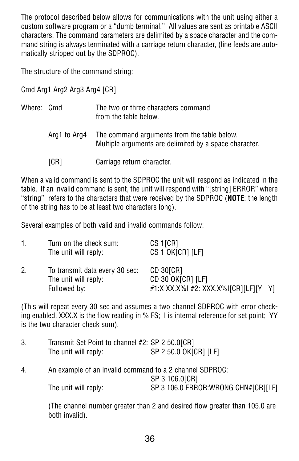The protocol described below allows for communications with the unit using either a custom software program or a "dumb terminal." All values are sent as printable ASCII characters. The command parameters are delimited by a space character and the command string is always terminated with a carriage return character, (line feeds are automatically stripped out by the SDPROC).

The structure of the command string:

Cmd Arg1 Arg2 Arg3 Arg4 [CR]

| Where: Cmd |              | The two or three characters command<br>from the table below.                                          |
|------------|--------------|-------------------------------------------------------------------------------------------------------|
|            | Arg1 to Arg4 | The command arguments from the table below.<br>Multiple arguments are delimited by a space character. |
|            | [CR]         | Carriage return character.                                                                            |

When a valid command is sent to the SDPROC the unit will respond as indicated in the table. If an invalid command is sent, the unit will respond with "[string] ERROR" where "string" refers to the characters that were received by the SDPROC (**NOTE**: the length of the string has to be at least two characters long).

Several examples of both valid and invalid commands follow:

| 1. | Turn on the check sum:<br>The unit will reply:                         | CS 1[CR]<br>CS 1 OK[CR] [LF]                                           |  |
|----|------------------------------------------------------------------------|------------------------------------------------------------------------|--|
| 2. | To transmit data every 30 sec:<br>The unit will reply:<br>Followed by: | CD 30[CR]<br>CD 30 OK[CR] [LF]<br>#1:X XX.X%I #2: XXX.X%I[CR][LF][Y Y] |  |

(This will repeat every 30 sec and assumes a two channel SDPROC with error checking enabled. XXX.X is the flow reading in % FS; I is internal reference for set point; YY is the two character check sum).

| 3. | Transmit Set Point to channel #2: SP 2 50.0[CR]<br>The unit will reply: | SP 2 50.0 OK[CR] [LF] |
|----|-------------------------------------------------------------------------|-----------------------|
| 4  | An example of an invalid command to a 2 channel SDPROC:                 |                       |

|                      | $\pi$ n campic or an invang command to a $\epsilon$ channel optition. |
|----------------------|-----------------------------------------------------------------------|
|                      | SP 3 106.0[CR]                                                        |
| The unit will reply: | SP 3 106.0 ERROR:WRONG CHN#[CR][LF]                                   |

(The channel number greater than 2 and desired flow greater than 105.0 are both invalid).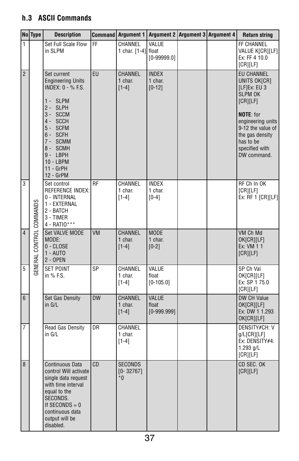# **h.3 ASCII Commands**

|                | No Type                  | <b>Description</b>                                                                                                                                                                                                |           | Command   Argument 1   Argument 2   Argument 3   Argument 4 |                                        |  | <b>Return string</b>                                                                                                                                                                                           |
|----------------|--------------------------|-------------------------------------------------------------------------------------------------------------------------------------------------------------------------------------------------------------------|-----------|-------------------------------------------------------------|----------------------------------------|--|----------------------------------------------------------------------------------------------------------------------------------------------------------------------------------------------------------------|
| 1              |                          | Set Full Scale Flow<br>in SLPM                                                                                                                                                                                    | FF.       | CHANNEL<br>1 char. $[1-4]$ float                            | VALUE<br>$[0-99999.0]$                 |  | FF CHANNEL<br>VALUE K[CR][LF]<br>Ex: FF 4 10.0<br>[CR][LF]                                                                                                                                                     |
| $\overline{2}$ |                          | Set current<br><b>Engineering Units</b><br><b>INDEX: 0 - % F.S.</b><br>1 - SLPM<br>2 - SLPH<br>3 - SCCM<br>4 - SCCH<br>5 - SCFM<br>6-SCFH<br>7- SCMM<br>8 - SCMH<br>9-LBPH<br>10 - LBPM<br>11 - GrPH<br>12 - GrPM | EU        | CHANNEL<br>1 char.<br>$[1-4]$                               | <b>INDEX</b><br>1 char.<br>$[0-12]$    |  | <b>EU CHANNEL</b><br>UNITS OK[CR]<br>[LF]Ex: EU 3<br><b>SLPM OK</b><br>[CR][LF]<br><b>NOTE:</b> for<br>engineering units<br>9-12 the value of<br>the gas density<br>has to be<br>specified with<br>DW command. |
| 3              |                          | Set control<br><b>REFERENCE INDEX:</b><br>0 - INTERNAL<br>1 - EXTERNAL<br>2 - BATCH<br>3 - TIMER<br>4 - RATIO***                                                                                                  | RF        | CHANNEL<br>1 char.<br>$[1 - 4]$                             | <b>INDEX</b><br>1 char.<br>$[0-4]$     |  | RF Ch In OK<br>[CR][LF]<br>Ex: RF 1 [CR][LF]                                                                                                                                                                   |
| $\overline{4}$ | GENERAL CONTROL COMMANDS | Set VALVE MODE<br>MODE:<br>0 - CLOSE<br>$1 - \text{AUTO}$<br>2 - OPEN                                                                                                                                             | <b>VM</b> | <b>CHANNEL</b><br>1 char.<br>$[1-4]$                        | <b>MODE</b><br>1 char.<br>$[0-2]$      |  | VM Ch Md<br>OK[CR][LF]<br>Ex: VM 1 1<br>[CR][LF]                                                                                                                                                               |
| 5              |                          | <b>SET POINT</b><br>in % F.S.                                                                                                                                                                                     | SP        | CHANNEL<br>1 char.<br>$[1-4]$                               | VALUE<br>float<br>$[0-105.0]$          |  | SP Ch Val<br>OK[CR][LF]<br>Ex: SP 1 75.0<br>[CR][LF]                                                                                                                                                           |
| $6\phantom{1}$ |                          | Set Gas Density<br>in G/L                                                                                                                                                                                         | <b>DW</b> | CHANNEL<br>1 char.<br>$[1-4]$                               | <b>VALUE</b><br>float<br>$[0-999.999]$ |  | DW CH Value<br>OK[CR][LF]<br>Ex: DW 1 1.293<br>OK[CR][LF]                                                                                                                                                      |
| 7              |                          | Read Gas Density<br>in G/L                                                                                                                                                                                        | DR        | CHANNEL<br>1 char.<br>$[1 - 4]$                             |                                        |  | <b>DENSITY#CH: V</b><br>g/L[CR][LF]<br>Ex: DENSITY#4:<br>1.293 g/L<br>[CR][LF]                                                                                                                                 |
| 8              |                          | Continuous Data<br>control Will activate<br>single data request<br>with time interval<br>equal to the<br>SECONDS.<br>If SECONDS $= 0$<br>continuous data<br>output will be<br>disabled.                           | <b>CD</b> | <b>SECONDS</b><br>$[0 - 32767]$<br>$*0$                     |                                        |  | CD SEC. OK<br>[CR][LF]                                                                                                                                                                                         |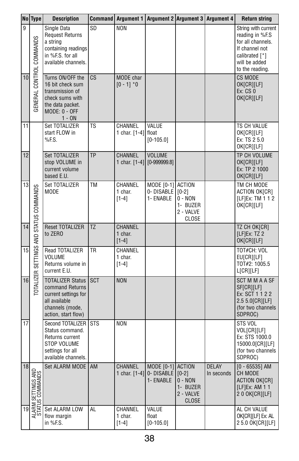|    | No Type                                | <b>Description</b>                                                                                                                 |                        | Command   Argument 1   Argument 2   Argument 3   Argument 4 |                                                |                                                        |                            | <b>Return string</b>                                                                                                                |
|----|----------------------------------------|------------------------------------------------------------------------------------------------------------------------------------|------------------------|-------------------------------------------------------------|------------------------------------------------|--------------------------------------------------------|----------------------------|-------------------------------------------------------------------------------------------------------------------------------------|
| 9  |                                        | Single Data<br><b>Request Returns</b><br>a string<br>containing readings<br>in %F.S. for all<br>available channels.                | SD                     | <b>NON</b>                                                  |                                                |                                                        |                            | String with current<br>reading in %F.S<br>for all channels.<br>If channel not<br>calibrated [*]<br>will be added<br>to the reading. |
| 10 | GENERAL CONTROL COMMANDS               | Turns ON/OFF the<br>16 bit check sum<br>transmission of<br>check sums with<br>the data packet.<br><b>MODE: 0 - OFF</b><br>$1 - ON$ | $\overline{\text{CS}}$ | MODE char<br>$[0 - 1]$ *0                                   |                                                |                                                        |                            | <b>CS MODE</b><br>OK[CR][LF]<br>Ex: CS 0<br>OK[CR][LF]                                                                              |
| 11 |                                        | Set TOTALIZER<br>start FLOW in<br>%F.S.                                                                                            | TS                     | CHANNEL<br>1 char. $[1-4]$ float                            | VALUE<br>$[0-105.0]$                           |                                                        |                            | TS CH VALUE<br>OK[CR][LF]<br>Ex: TS 2 5.0<br>OK[CR][LF]                                                                             |
| 12 |                                        | Set TOTALIZER<br>stop VOLUME in<br>current volume<br>based E.U.                                                                    | TP                     | CHANNEL<br>1 char. $[1-4]$                                  | <b>VOLUME</b><br>$[0-999999.8]$                |                                                        |                            | TP CH VOLUME<br>OK[CR][LF]<br>Ex: TP 2 1000<br>OK[CR][LF]                                                                           |
| 13 | TOTALIZER SETTINGS AND STATUS COMMANDS | Set TOTALIZER<br><b>MODE</b>                                                                                                       | TM                     | CHANNEL<br>1 char.<br>$[1 - 4]$                             | MODE [0-1] ACTION<br>0- DISABLE  <br>1- ENABLE | $[0-2]$<br>$0 - NON$<br>1- BUZER<br>2 - VALVE<br>CLOSE |                            | TM CH MODE<br>ACTION OK[CR]<br>[LF]Ex: TM 1 1 2<br>OK[CR][LF]                                                                       |
| 14 |                                        | Reset TOTALIZER<br>to ZERO                                                                                                         | TZ                     | <b>CHANNEL</b><br>1 char.<br>$[1-4]$                        |                                                |                                                        |                            | TZ CH OK[CR]<br>[LF]Ex: TZ2<br>OK[CR][LF]                                                                                           |
| 15 |                                        | Read TOTALIZER<br>VOLUME<br>Returns volume in<br>current E.U.                                                                      | TR                     | CHANNEL<br>1 char.<br>$[1 - 4]$                             |                                                |                                                        |                            | TOT#CH: VOL<br>EU[CR][LF]<br>TOT#2: 1005.5<br>L[CR][LF]                                                                             |
| 16 |                                        | <b>TOTALIZER Status</b><br>command Returns<br>current settings for<br>all available<br>channels (mode,<br>action, start flow)      | <b>SCT</b>             | <b>NON</b>                                                  |                                                |                                                        |                            | <b>SCT M M A A SF</b><br>SF[CR][LF]<br>Ex: SCT 1 1 2 2<br>2.5 5.0[CR][LF]<br>(for two channels<br>SDPROC)                           |
| 17 |                                        | Second TOTALIZER<br>Status command.<br>Returns current<br>STOP VOLUME<br>settings for all<br>available channels.                   | STS                    | <b>NON</b>                                                  |                                                |                                                        |                            | STS VOL<br>VOL[CR][LF]<br>Ex: STS 1000.0<br>15000.0[CR][LF]<br>(for two channels I<br>SDPROC)                                       |
| 18 | ALARM SETTINGS AND<br>STATUS COMMANDS  | Set ALARM MODE   AM                                                                                                                |                        | CHANNEL<br>1 char. [1-4]                                    | MODE [0-1] ACTION<br>0-DISABLE<br>1- ENABLE    | $[0-2]$<br>0 - NON<br>1- BUZER<br>2 - VALVE<br>CLOSE   | <b>DELAY</b><br>In seconds | $[0 - 65535]$ AM<br>CH MODE<br>ACTION OK[CR]<br>[ $LF$ ]Ex: AM 1 1<br>2 0 OK[CR][LF]                                                |
| 19 |                                        | Set ALARM LOW<br>flow margin<br>in %F.S.                                                                                           | AL                     | CHANNEL<br>1 char.<br>$[1-4]$                               | VALUE<br>float<br>$[0-105.0]$                  |                                                        |                            | AL CH VALUE<br>OK[CR][LF] Ex: AL<br>25.0 OK[CR][LF]                                                                                 |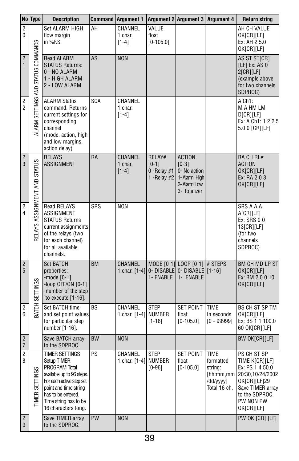|                                           | No Type                            | <b>Description</b>                                                                                                                                                                                            |            | <b>Command Argument 1</b>              |                                                       |                                                                                           | Argument 2 Argument 3 Argument 4                                              | <b>Return string</b>                                                                                                                                  |
|-------------------------------------------|------------------------------------|---------------------------------------------------------------------------------------------------------------------------------------------------------------------------------------------------------------|------------|----------------------------------------|-------------------------------------------------------|-------------------------------------------------------------------------------------------|-------------------------------------------------------------------------------|-------------------------------------------------------------------------------------------------------------------------------------------------------|
| $\overline{2}$<br>0                       |                                    | Set ALARM HIGH<br>flow margin<br>in $%FS.$                                                                                                                                                                    | AΗ         | CHANNEL<br>1 char.<br>$[1-4]$          | VALUE<br>float<br>$[0 - 105.0]$                       |                                                                                           |                                                                               | AH CH VALUE<br>OK[CR][LF]<br>Ex: AH 2 5.0<br>OK[CR][LF]                                                                                               |
| $\overline{2}$<br>$\mathbf{1}$            | ALARM SETTINGS AND STATUS COMMANDS | Read ALARM<br><b>STATUS Returns:</b><br>0 - NO ALARM<br>1 - HIGH ALARM<br>2 - LOW ALARM                                                                                                                       | AS         | <b>NON</b>                             |                                                       |                                                                                           |                                                                               | AS ST ST[CR]<br>$[LF]$ Ex: AS 0<br>2[CR][LF]<br>(example above<br>for two channels<br>SDPROC)                                                         |
| $\overline{\mathbf{c}}$<br>$\overline{2}$ |                                    | <b>ALARM Status</b><br>command. Returns<br>current settings for<br>corresponding<br>channel<br>(mode, action, high<br>and low margins,<br>action delay)                                                       | <b>SCA</b> | <b>CHANNEL</b><br>1 char.<br>$[1-4]$   |                                                       |                                                                                           |                                                                               | A Ch1:<br>M A HM LM<br>D[CR][LF]<br>Ex: A Ch1: 1 2 2.5<br>5.0 0 [CR][LF]                                                                              |
| $\overline{\mathbf{c}}$<br>3              | RELAYS ASSIGNMENT AND STATUS       | <b>RELAYS</b><br><b>ASSIGNMENT</b>                                                                                                                                                                            | <b>RA</b>  | CHANNEL<br>1 char.<br>$[1-4]$          | RELAY#<br>$[0-1]$<br>0 - Relay $#1$<br>1 - Relay $#2$ | <b>ACTION</b><br>$[0-3]$<br>0- No action<br>1- Alarm High<br>2- Alarm Low<br>3- Totalizer |                                                                               | RA CH RL#<br><b>ACTION</b><br>OK[CR][LF]<br>Ex: RA 203<br>OK[CR][LF]                                                                                  |
| $\overline{2}$<br>4                       |                                    | <b>Read RELAYS</b><br>ASSIGNMENT<br><b>STATUS Returns</b><br>current assignments<br>of the relays (two<br>for each channel)<br>for all available<br>channels.                                                 | SRS        | <b>NON</b>                             |                                                       |                                                                                           |                                                                               | SRS A A A<br>A[CR][LF]<br>Ex: SRS 00<br>13[CR][LF]<br>(for two<br>channels<br>SDPROC)                                                                 |
| $\overline{c}$<br>$\overline{5}$          | BATCH SETTINGS                     | Set BATCH<br>properties:<br>-mode $[0-1]$<br>-loop OFF/ON [0-1]<br>-number of the step<br>to execute $[1-16]$ .                                                                                               | <b>BM</b>  | CHANNEL<br>1 char. $[1-4]$             | 1- ENABLE                                             | MODE [0-1] LOOP [0-1] # STEPS<br>0- DISABLE 0- DISABLE [1-16]<br>1- ENABLE                |                                                                               | <b>BM CH MD LP ST</b><br>OK[CR][LF]<br>Ex: BM 20010<br>OK[CR][LF]                                                                                     |
| $\overline{\mathbf{c}}$<br>6              |                                    | Set BATCH time<br>and set point values<br>for particular step<br>number [1-16].                                                                                                                               | ВS         | CHANNEL<br>1 char. $[1-4]$ NUMBER      | <b>STEP</b><br>$[1 - 16]$                             | SET POINT<br>float<br>$[0 - 105.0]$                                                       | <b>TIME</b><br>In seconds<br>$[0 - 99999]$                                    | BS CH ST SP TM<br>OK[CR][LF]<br>Ex: BS 1 1 100.0<br>60 OK[CR][LF]                                                                                     |
| $\overline{2}$<br>$\overline{7}$          |                                    | Save BATCH array<br>to the SDPROC.                                                                                                                                                                            | <b>BW</b>  | <b>NON</b>                             |                                                       |                                                                                           |                                                                               | <b>BW OK[CR][LF]</b>                                                                                                                                  |
| $\overline{2}$<br>8                       | TIMER SETTINGS                     | <b>TIMER SETTINGS</b><br>Setup TIMER<br>PROGRAM Total<br>available up to 96 steps.<br>For each active step set<br>point and time string<br>has to be entered.<br>Time string has to be<br>16 characters long. | PS         | <b>CHANNEL</b><br>1 char. [1-4] NUMBER | <b>STEP</b><br>$[0-96]$                               | <b>SET POINT</b><br>float<br>$[0 - 105.0]$                                                | <b>TIME</b><br>formatted<br>string:<br>[hh:mm,mm<br>/dd/yyyy]<br>Total 16 ch. | PS CH ST SP<br>TIME K[CR][LF]<br>Ex: PS 1 4 50.0<br>20:30.10/24/2002<br>OK[CR][LF]29<br>Save TIMER array<br>to the SDPROC.<br>PW NON PW<br>OK[CR][LF] |
| $\overline{\mathbf{c}}$<br>9              |                                    | Save TIMER array<br>to the SDPROC.                                                                                                                                                                            | PW         | <b>NON</b>                             |                                                       |                                                                                           |                                                                               | PW OK [CR] [LF]                                                                                                                                       |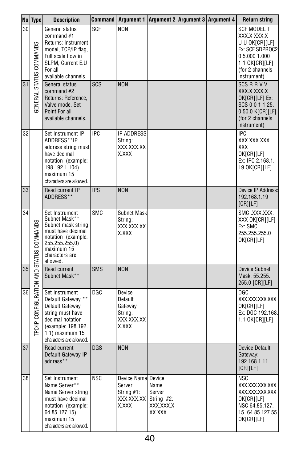|                 | No Type                                        | <b>Description</b>                                                                                                                                                       |            | Command   Argument 1   Argument 2   Argument 3   Argument 4                      |                                       |  | <b>Return string</b>                                                                                                                  |
|-----------------|------------------------------------------------|--------------------------------------------------------------------------------------------------------------------------------------------------------------------------|------------|----------------------------------------------------------------------------------|---------------------------------------|--|---------------------------------------------------------------------------------------------------------------------------------------|
| 30              | STATUS COMMANDS                                | General status<br>command $#1$<br>Returns: Instrument<br>model, TCP/IP flag,<br>Full scale flow in<br>SLPM. Current E.U<br>For all<br>available channels.                | <b>SCF</b> | <b>NON</b>                                                                       |                                       |  | SCF MODEL T<br>XXX.X XXX.X<br>U U OK[CR][LF]<br>Ex: SCF SDPROC2<br>0 5.000 1.000<br>1 1 OK[CR][LF]<br>(for 2 channels)<br>instrument) |
| $\overline{31}$ | <b>GENERAL</b>                                 | General status<br>command #2<br>Returns: Reference,<br>Valve mode, Set<br>Point For all<br>available channels.                                                           | SCS        | <b>NON</b>                                                                       |                                       |  | <b>SCS R R V V</b><br>XXX.X XXX.X<br>OK[CR][LF] Ex:<br>SCS 0 0 1 1 25.<br>0 50.0 K[CR][LF]<br>(for 2 channels<br>instrument)          |
| 32              |                                                | Set Instrument IP<br>ADDRESS**IP<br>address string must<br>have decimal<br>notation (example:<br>198.192.1.104)<br>maximum 15<br>characters are allowed.                 | <b>IPC</b> | <b>IP ADDRESS</b><br>String:<br>XXX.XXX.XX<br>X.XXX                              |                                       |  | <b>IPC</b><br>XXX.XXX.XXX.<br>XXX<br>OK[CR][LF]<br>Ex: IPC 2.168.1.<br>19 OK[CR][LF]                                                  |
| 33              |                                                | Read current IP<br>ADDRESS**                                                                                                                                             | <b>IPS</b> | <b>NON</b>                                                                       |                                       |  | Device IP Address:<br>192.168.1.19<br>[CR][LF]                                                                                        |
| 34              |                                                | Set Instrument<br>Subnet Mask**<br>Subnet mask string<br>must have decimal<br>notation (example:<br>255.255.255.0)<br>maximum 15<br>characters are<br>allowed.           | <b>SMC</b> | <b>Subnet Mask</b><br>String:<br>XXX.XXX.XX<br>X.XXX                             |                                       |  | SMC.XXX.XXX.<br>XXX OK[CR][LF]<br>Ex: SMC<br>255.255.255.0<br>OK[CR][LF]                                                              |
| 35              |                                                | Read current<br>Subnet Mask**                                                                                                                                            | <b>SMS</b> | <b>NON</b>                                                                       |                                       |  | Device Subnet<br>Mask: 55.255.<br>255.0 [CR][LF]                                                                                      |
| 36              | <b>PC/IP CONFIGURATION AND STATUS COMMANDS</b> | Set Instrument<br>Default Gateway **<br>Default Gateway<br>string must have<br>decimal notation<br>(example: 198.192.<br>$1.1$ ) maximum $15$<br>characters are allowed. | DGC        | Device<br>Default<br>Gateway<br>String:<br>XXX.XXX.XX<br>X.XXX                   |                                       |  | DGC<br>XXX.XXX.XXX.XXX<br>OK[CR][LF]<br>Ex: DGC 192.168.<br>1.1 OK[CR][LF]                                                            |
| 37              |                                                | Read current<br>Default Gateway IP<br>address**                                                                                                                          | <b>DGS</b> | <b>NON</b>                                                                       |                                       |  | Device Default<br>Gateway:<br>192.168.1.11<br>[CR][LF]                                                                                |
| 38              |                                                | Set Instrument<br>Name Server**<br>Name Server string<br>must have decimal<br>notation (example:<br>64.85.127.15)<br>maximum 15<br>characters are allowed.               | NSC        | Device Name Device<br>Server<br>String $#1$ :<br>$XXX.XX.XX$ String #2:<br>X.XXX | Name<br>Server<br>XXX.XXX.X<br>XX.XXX |  | NSC<br>XXX.XXX.XXX.XXX<br>XXX.XXX.XXX.XXX<br>OK[CR][LF]<br>NSC 64.85.127.<br>15 64.85.127.55<br>OK[CR][LF]                            |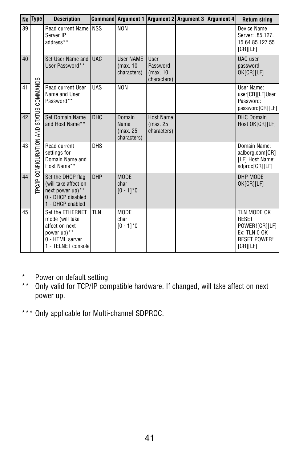|    | No   Type                       | <b>Description</b>                                                                                            |            | Command Argument 1 Argument 2 Argument 3 Argument 4 |                                                    |  | <b>Return string</b>                                                                             |
|----|---------------------------------|---------------------------------------------------------------------------------------------------------------|------------|-----------------------------------------------------|----------------------------------------------------|--|--------------------------------------------------------------------------------------------------|
| 39 |                                 | <b>Read current Name</b><br>Server IP<br>address**                                                            | <b>NSS</b> | <b>NON</b>                                          |                                                    |  | Device Name<br>Server: .85.127.<br>15 64.85.127.55<br>[CR][LF]                                   |
| 40 |                                 | Set User Name and<br>User Password**                                                                          | <b>UAC</b> | <b>User NAME</b><br>(max. 10<br>characters)         | <b>User</b><br>Password<br>(max. 10<br>characters) |  | UAC user<br>password<br>OK[CR][LF]                                                               |
| 41 | COMMANDS                        | Read current User<br>Name and User<br>Password**                                                              | <b>UAS</b> | <b>NON</b>                                          |                                                    |  | User Name:<br>user[CR][LF]User<br>Password:<br>password[CR][LF]                                  |
| 42 | <b>STATUS</b>                   | Set Domain Name<br>and Host Name**                                                                            | <b>DHC</b> | Domain<br>Name<br>(max. 25<br>characters)           | <b>Host Name</b><br>(max. 25<br>characters)        |  | <b>DHC Domain</b><br>Host OK[CR][LF]                                                             |
| 43 | <b>TPC/IP CONFIGURATION AND</b> | Read current<br>settings for<br>Domain Name and<br>Host Name**                                                | <b>DHS</b> |                                                     |                                                    |  | Domain Name:<br>aalborg.com[CR]<br>[LF] Host Name:<br>sdproc[CR][LF]                             |
| 44 |                                 | Set the DHCP flag<br>(will take affect on<br>next power up)**<br>0 - DHCP disabled<br>1 - DHCP enabled        | <b>DHP</b> | <b>MODE</b><br>char<br>$[0 - 1]$ <sup>*</sup> 0     |                                                    |  | DHP MODE<br>OK[CR][LF]                                                                           |
| 45 |                                 | Set the ETHERNET<br>mode (will take<br>affect on next<br>power up)**<br>0 - HTML server<br>1 - TELNET console | <b>TLN</b> | <b>MODE</b><br>char<br>$[0 - 1]$ <sup>*</sup> 0     |                                                    |  | TLN MODE OK<br><b>RESET</b><br>POWER![CR][LF]<br>Ex: TLN 0 OK<br><b>RESET POWER!</b><br>[CR][LF] |

- \* Power on default setting
- \*\* Only valid for TCP/IP compatible hardware. If changed, will take affect on next power up.
- \*\*\* Only applicable for Multi-channel SDPROC.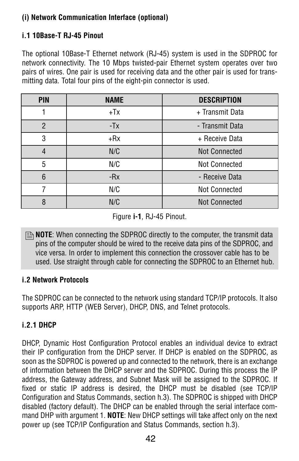# **(i) Network Communication Interface (optional)**

# **i.1 10Base-T RJ-45 Pinout**

The optional 10Base-T Ethernet network (RJ-45) system is used in the SDPROC for network connectivity. The 10 Mbps twisted-pair Ethernet system operates over two pairs of wires. One pair is used for receiving data and the other pair is used for transmitting data. Total four pins of the eight-pin connector is used.

| <b>PIN</b>      | <b>NAME</b> | <b>DESCRIPTION</b>   |
|-----------------|-------------|----------------------|
|                 | $+Tx$       | + Transmit Data      |
| $\overline{2}$  | $-Tx$       | - Transmit Data      |
| 3               | +Rx         | + Receive Data       |
| $\overline{4}$  | N/C         | <b>Not Connected</b> |
| 5               | N/C         | Not Connected        |
| $6\phantom{1}6$ | $-Rx$       | - Receive Data       |
|                 | N/C         | Not Connected        |
| 8               | N/C         | <b>Not Connected</b> |

Figure **i-1**, RJ-45 Pinout.

**B** NOTE: When connecting the SDPROC directly to the computer, the transmit data pins of the computer should be wired to the receive data pins of the SDPROC, and vice versa. In order to implement this connection the crossover cable has to be used. Use straight through cable for connecting the SDPROC to an Ethernet hub.

### **i.2 Network Protocols**

The SDPROC can be connected to the network using standard TCP/IP protocols. It also supports ARP, HTTP (WEB Server), DHCP, DNS, and Telnet protocols.

# **i.2.1 DHCP**

DHCP, Dynamic Host Configuration Protocol enables an individual device to extract their IP configuration from the DHCP server. If DHCP is enabled on the SDPROC, as soon as the SDPROC is powered up and connected to the network, there is an exchange of information between the DHCP server and the SDPROC. During this process the IP address, the Gateway address, and Subnet Mask will be assigned to the SDPROC. If fixed or static IP address is desired, the DHCP must be disabled (see TCP/IP Configuration and Status Commands, section h.3). The SDPROC is shipped with DHCP disabled (factory default). The DHCP can be enabled through the serial interface command DHP with argument 1. **NOTE**: New DHCP settings will take affect only on the next power up (see TCP/IP Configuration and Status Commands, section h.3).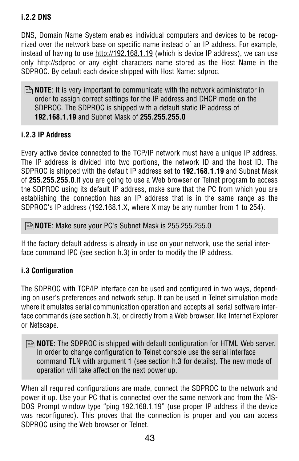# **i.2.2 DNS**

DNS, Domain Name System enables individual computers and devices to be recognized over the network base on specific name instead of an IP address. For example, instead of having to use http://192.168.1.19 (which is device IP address), we can use only http://sdproc or any eight characters name stored as the Host Name in the SDPROC. By default each device shipped with Host Name: sdproc.

**B** NOTE: It is very important to communicate with the network administrator in order to assign correct settings for the IP address and DHCP mode on the SDPROC. The SDPROC is shipped with a default static IP address of **192.168.1.19** and Subnet Mask of **255.255.255.0** 

### **i.2.3 IP Address**

Every active device connected to the TCP/IP network must have a unique IP address. The IP address is divided into two portions, the network ID and the host ID. The SDPROC is shipped with the default IP address set to **192.168.1.19** and Subnet Mask of **255.255.255.0**.If you are going to use a Web browser or Telnet program to access the SDPROC using its default IP address, make sure that the PC from which you are establishing the connection has an IP address that is in the same range as the SDPROC's IP address (192.168.1.X, where X may be any number from 1 to 254).

**NOTE**: Make sure your PC's Subnet Mask is 255.255.255.0 ,

If the factory default address is already in use on your network, use the serial interface command IPC (see section h.3) in order to modify the IP address.

### **i.3 Configuration**

The SDPROC with TCP/IP interface can be used and configured in two ways, depending on user's preferences and network setup. It can be used in Telnet simulation mode where it emulates serial communication operation and accepts all serial software interface commands (see section h.3), or directly from a Web browser, like Internet Explorer or Netscape.

**B** NOTE: The SDPROC is shipped with default configuration for HTML Web server. In order to change configuration to Telnet console use the serial interface command TLN with argument 1 (see section h.3 for details). The new mode of operation will take affect on the next power up.

When all required configurations are made, connect the SDPROC to the network and power it up. Use your PC that is connected over the same network and from the MS-DOS Prompt window type "ping 192.168.1.19" (use proper IP address if the device was reconfigured). This proves that the connection is proper and you can access SDPROC using the Web browser or Telnet.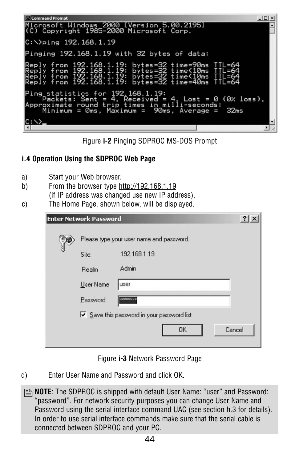



# **i.4 Operation Using the SDPROC Web Page**

- a) Start your Web browser.
- b) From the browser type http://192.168.1.19
	- (if IP address was changed use new IP address).
- c) The Home Page, shown below, will be displayed.

| <b>Enter Network Password</b>            |                                          | $\overline{\mathbf{?}}$ |  |  |  |  |
|------------------------------------------|------------------------------------------|-------------------------|--|--|--|--|
| Please type your user name and password. |                                          |                         |  |  |  |  |
| Site:                                    | 192.168.1.19                             |                         |  |  |  |  |
| Realm                                    | Admin                                    |                         |  |  |  |  |
| User Name                                | user                                     |                         |  |  |  |  |
| Password                                 | миникник                                 |                         |  |  |  |  |
|                                          | Save this password in your password list |                         |  |  |  |  |
|                                          | Cancel<br>0K                             |                         |  |  |  |  |
|                                          |                                          |                         |  |  |  |  |

Figure **i-3** Network Password Page

d) Enter User Name and Password and click OK.

**B** NOTE: The SDPROC is shipped with default User Name: "user" and Password: "password". For network security purposes you can change User Name and Password using the serial interface command UAC (see section h.3 for details). In order to use serial interface commands make sure that the serial cable is connected between SDPROC and your PC.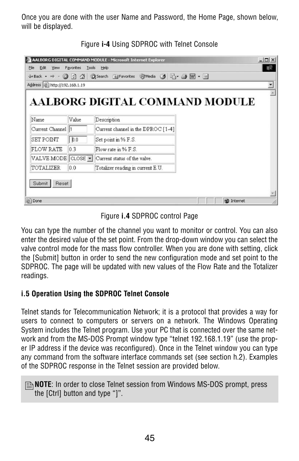Once you are done with the user Name and Password, the Home Page, shown below, will be displayed.

| $\leftarrow$ Back $\rightarrow$ $\rightarrow$ | $\circledcirc$ and | <b>QSearch TFavorites OMedia 3 2-9回·</b> |  |
|-----------------------------------------------|--------------------|------------------------------------------|--|
| Address   http://192.168.1.19                 |                    |                                          |  |
|                                               |                    | AALBORG DIGITAL COMMAND MODULE           |  |
| Name                                          | Value              | Description                              |  |
| Current Channel 1                             |                    | Current channel in the DPROC [1-4]       |  |
| <b>SET POINT</b>                              | b.0                | Set point in % F.S.                      |  |
|                                               | 0.3                | Flow rate in % F.S.                      |  |
|                                               |                    | Current status of the valve.             |  |
| <b>FLOW RATE</b><br>VALVE MODE CLOSE -        |                    |                                          |  |
| TOTALIZER                                     | 0.0                | Totalizer reading in current E.U.        |  |
| Submit<br>Reset                               |                    |                                          |  |

Figure **i-4** Using SDPROC with Telnet Console

Figure **i.4** SDPROC control Page

You can type the number of the channel you want to monitor or control. You can also enter the desired value of the set point. From the drop-down window you can select the valve control mode for the mass flow controller. When you are done with setting, click the [Submit] button in order to send the new configuration mode and set point to the SDPROC. The page will be updated with new values of the Flow Rate and the Totalizer readings.

# **i.5 Operation Using the SDPROC Telnet Console**

Telnet stands for Telecommunication Network; it is a protocol that provides a way for users to connect to computers or servers on a network. The Windows Operating System includes the Telnet program. Use your PC that is connected over the same network and from the MS-DOS Prompt window type "telnet 192.168.1.19" (use the proper IP address if the device was reconfigured). Once in the Telnet window you can type any command from the software interface commands set (see section h.2). Examples of the SDPROC response in the Telnet session are provided below.

**INOTE:** In order to close Telnet session from Windows MS-DOS prompt, press the [Ctrl] button and type "]".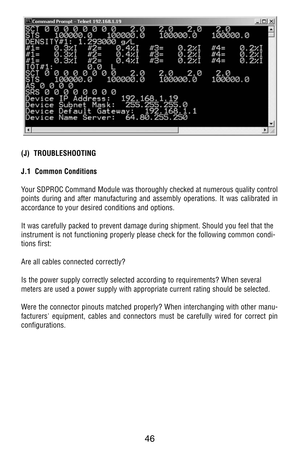| Command Prompt - Telnet 192.168.1.19                                                                                                               |                                                        | $ \Box$ $\times$                                 |
|----------------------------------------------------------------------------------------------------------------------------------------------------|--------------------------------------------------------|--------------------------------------------------|
| 2.0<br>Ø<br>Ø<br>Ø<br>и<br>и<br><b>STS</b><br>100000.0<br>100000<br>. 0<br>293000 g/L                                                              | 2.0<br>2.0<br>100000.0                                 | 2.0<br>100000.0                                  |
| $#2=$<br>0.4%I<br>0.3%I<br>0.3%<br>$#2 =$<br>0.4%I<br>0.3xI<br>$#2=$<br>0.42I                                                                      | #3=<br>0.2%I<br>$#3=$<br>0.221<br>0.221<br>$#3=$       | #4=<br>0.2%I<br>0.2%I<br>$#4=$<br>0.221<br>$#4=$ |
| $0T#1$ :<br>0.0<br>ø<br>SČT<br>STS<br>Ø<br>2.0<br>Ø<br>Ø<br>Ø<br>Ø<br>Ø<br>Ø<br>100000.0<br>100000.0<br>ĂŚ<br>SRS<br>Ø<br>Ø<br>Ø<br>Ø              | 2.0 2.0<br>100000.0<br>2.0                             | 2.0<br>100000.0                                  |
| Ø<br>00<br>Ø<br>Ø<br>Ø<br>Ø<br>Ø<br><b>IP</b><br>Address:<br>Device<br>Subnet Mask:<br>Device<br>Device Default Gateway:<br>Name Server:<br>Device | 192.168.1.19<br>255.255.255.0<br>168.<br>64.80.255.250 |                                                  |
| $\left  \cdot \right $                                                                                                                             |                                                        |                                                  |

# **(J) TROUBLESHOOTING**

### **J.1 Common Conditions**

Your SDPROC Command Module was thoroughly checked at numerous quality control points during and after manufacturing and assembly operations. It was calibrated in accordance to your desired conditions and options.

It was carefully packed to prevent damage during shipment. Should you feel that the instrument is not functioning properly please check for the following common conditions first:

Are all cables connected correctly?

Is the power supply correctly selected according to requirements? When several meters are used a power supply with appropriate current rating should be selected.

Were the connector pinouts matched properly? When interchanging with other manufacturers' equipment, cables and connectors must be carefully wired for correct pin configurations.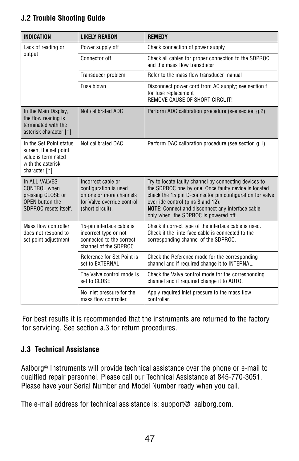# **J.2 Trouble Shooting Guide**

| <b>INDICATION</b>                                                                                             | <b>LIKELY REASON</b>                                                                                                     | <b>REMEDY</b>                                                                                                                                                                                                                                                                                                     |  |  |
|---------------------------------------------------------------------------------------------------------------|--------------------------------------------------------------------------------------------------------------------------|-------------------------------------------------------------------------------------------------------------------------------------------------------------------------------------------------------------------------------------------------------------------------------------------------------------------|--|--|
| Lack of reading or                                                                                            | Power supply off                                                                                                         | Check connection of power supply                                                                                                                                                                                                                                                                                  |  |  |
| output                                                                                                        | Connector off                                                                                                            | Check all cables for proper connection to the SDPROC<br>and the mass flow transducer                                                                                                                                                                                                                              |  |  |
|                                                                                                               | Transducer problem                                                                                                       | Refer to the mass flow transducer manual                                                                                                                                                                                                                                                                          |  |  |
|                                                                                                               | Fuse blown                                                                                                               | Disconnect power cord from AC supply; see section f<br>for fuse replacement<br>REMOVE CAUSE OF SHORT CIRCUIT!                                                                                                                                                                                                     |  |  |
| In the Main Display,<br>the flow reading is<br>terminated with the<br>asterisk character [*]                  | Not calibrated ADC                                                                                                       | Perform ADC calibration procedure (see section g.2)                                                                                                                                                                                                                                                               |  |  |
| In the Set Point status<br>screen, the set point<br>value is terminated<br>with the asterisk<br>character [*] | Not calibrated DAC                                                                                                       | Perform DAC calibration procedure (see section g.1)                                                                                                                                                                                                                                                               |  |  |
| In ALL VALVES<br>CONTROL when<br>pressing CLOSE or<br>OPEN button the<br>SDPROC resets itself.                | Incorrect cable or<br>configuration is used<br>on one or more channels<br>for Valve override control<br>(short circuit). | Try to locate faulty channel by connecting devices to<br>the SDPROC one by one. Once faulty device is located<br>check the 15 pin D-connector pin configuration for valve<br>override control (pins 8 and 12).<br><b>NOTE:</b> Connect and disconnect any interface cable<br>only when the SDPROC is powered off. |  |  |
| Mass flow controller<br>does not respond to<br>set point adjustment                                           | 15-pin interface cable is<br>incorrect type or not<br>connected to the correct<br>channel of the SDPROC                  | Check if correct type of the interface cable is used.<br>Check if the interface cable is connected to the<br>corresponding channel of the SDPROC.                                                                                                                                                                 |  |  |
|                                                                                                               | Reference for Set Point is<br>set to EXTERNAL                                                                            | Check the Reference mode for the corresponding<br>channel and if required change it to INTERNAL.                                                                                                                                                                                                                  |  |  |
|                                                                                                               | The Valve control mode is<br>set to CLOSE                                                                                | Check the Valve control mode for the corresponding<br>channel and if required change it to AUTO.                                                                                                                                                                                                                  |  |  |
|                                                                                                               | No inlet pressure for the<br>mass flow controller.                                                                       | Apply required inlet pressure to the mass flow<br>controller.                                                                                                                                                                                                                                                     |  |  |

For best results it is recommended that the instruments are returned to the factory for servicing. See section a.3 for return procedures.

### **J.3 Technical Assistance**

Aalborg<sup>®</sup> Instruments will provide technical assistance over the phone or e-mail to qualified repair personnel. Please call our Technical Assistance at 845-770-3051. Please have your Serial Number and Model Number ready when you call.

The e-mail address for technical assistance is: support@ aalborg.com.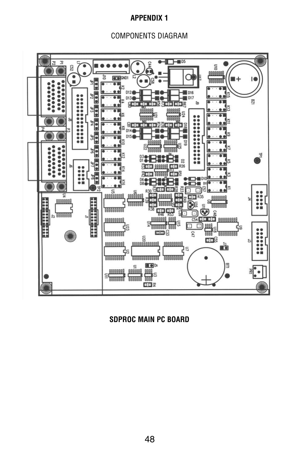#### **APPENDIX 1**

COMPONENTS DIAGRAM



**SDPROC MAIN PC BOARD**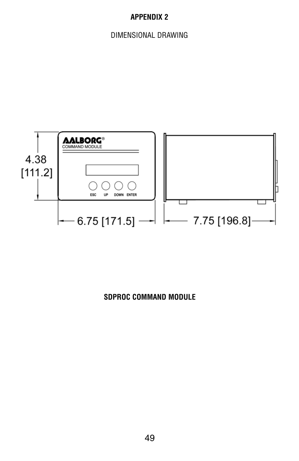# **APPENDIX 2**

DIMENSIONAL DRAWING



# **SDPROC COMMAND MODULE**